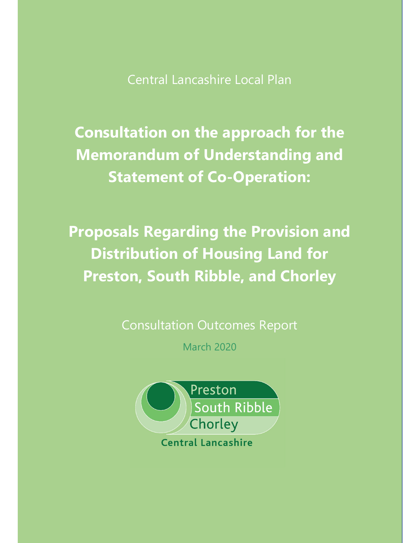Central Lancashire Local Plan

**Consultation on the approach for the Memorandum of Understanding and Statement of Co-Operation:** 

**Proposals Regarding the Provision and Distribution of Housing Land for Preston, South Ribble, and Chorley** 

Consultation Outcomes Report

March 2020

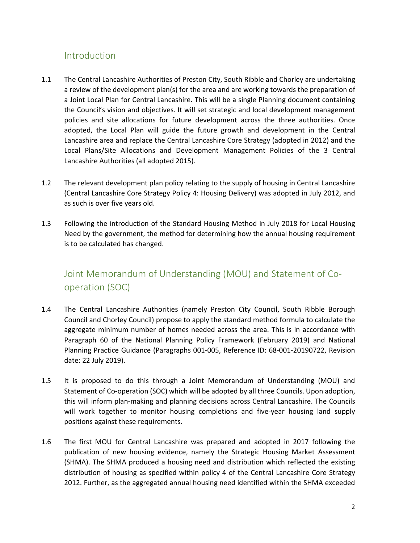# Introduction

- 1.1 The Central Lancashire Authorities of Preston City, South Ribble and Chorley are undertaking a review of the development plan(s) for the area and are working towards the preparation of a Joint Local Plan for Central Lancashire. This will be a single Planning document containing the Council's vision and objectives. It will set strategic and local development management policies and site allocations for future development across the three authorities. Once adopted, the Local Plan will guide the future growth and development in the Central Lancashire area and replace the Central Lancashire Core Strategy (adopted in 2012) and the Local Plans/Site Allocations and Development Management Policies of the 3 Central Lancashire Authorities (all adopted 2015).
- 1.2 The relevant development plan policy relating to the supply of housing in Central Lancashire (Central Lancashire Core Strategy Policy 4: Housing Delivery) was adopted in July 2012, and as such is over five years old.
- 1.3 Following the introduction of the Standard Housing Method in July 2018 for Local Housing Need by the government, the method for determining how the annual housing requirement is to be calculated has changed.

# Joint Memorandum of Understanding (MOU) and Statement of Cooperation (SOC)

- 1.4 The Central Lancashire Authorities (namely Preston City Council, South Ribble Borough Council and Chorley Council) propose to apply the standard method formula to calculate the aggregate minimum number of homes needed across the area. This is in accordance with Paragraph 60 of the National Planning Policy Framework (February 2019) and National Planning Practice Guidance (Paragraphs 001-005, Reference ID: 68-001-20190722, Revision date: 22 July 2019).
- 1.5 It is proposed to do this through a Joint Memorandum of Understanding (MOU) and Statement of Co-operation (SOC) which will be adopted by all three Councils. Upon adoption, this will inform plan-making and planning decisions across Central Lancashire. The Councils will work together to monitor housing completions and five-year housing land supply positions against these requirements.
- 1.6 The first MOU for Central Lancashire was prepared and adopted in 2017 following the publication of new housing evidence, namely the Strategic Housing Market Assessment (SHMA). The SHMA produced a housing need and distribution which reflected the existing distribution of housing as specified within policy 4 of the Central Lancashire Core Strategy 2012. Further, as the aggregated annual housing need identified within the SHMA exceeded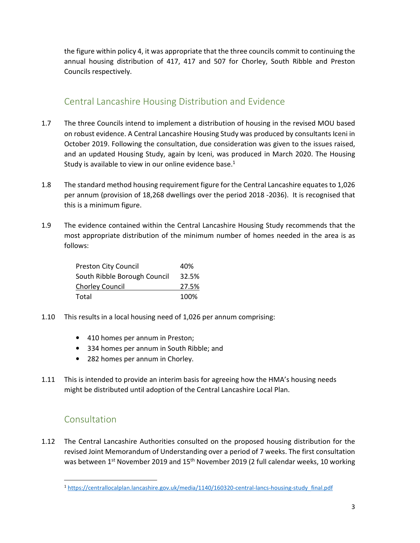the figure within policy 4, it was appropriate that the three councils commit to continuing the annual housing distribution of 417, 417 and 507 for Chorley, South Ribble and Preston Councils respectively.

# Central Lancashire Housing Distribution and Evidence

- 1.7 The three Councils intend to implement a distribution of housing in the revised MOU based on robust evidence. A Central Lancashire Housing Study was produced by consultants Iceni in October 2019. Following the consultation, due consideration was given to the issues raised, and an updated Housing Study, again by Iceni, was produced in March 2020. The Housing Study is available to view in our online evidence base. $1$
- 1.8 The standard method housing requirement figure for the Central Lancashire equates to 1,026 per annum (provision of 18,268 dwellings over the period 2018 -2036). It is recognised that this is a minimum figure.
- 1.9 The evidence contained within the Central Lancashire Housing Study recommends that the most appropriate distribution of the minimum number of homes needed in the area is as follows:

| <b>Preston City Council</b>  | 40%   |
|------------------------------|-------|
| South Ribble Borough Council | 32.5% |
| Chorley Council              | 27.5% |
| Total                        | 100%  |

- 1.10 This results in a local housing need of 1,026 per annum comprising:
	- 410 homes per annum in Preston;
	- 334 homes per annum in South Ribble; and
	- 282 homes per annum in Chorley.
- 1.11 This is intended to provide an interim basis for agreeing how the HMA's housing needs might be distributed until adoption of the Central Lancashire Local Plan.

# Consultation

1.12 The Central Lancashire Authorities consulted on the proposed housing distribution for the revised Joint Memorandum of Understanding over a period of 7 weeks. The first consultation was between 1<sup>st</sup> November 2019 and 15<sup>th</sup> November 2019 (2 full calendar weeks, 10 working

<sup>1</sup> https://centrallocalplan.lancashire.gov.uk/media/1140/160320-central-lancs-housing-study\_final.pdf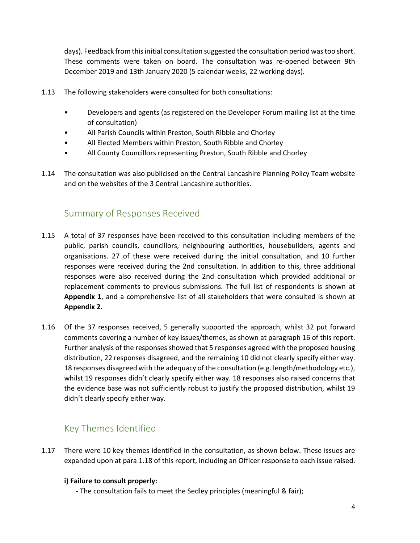days). Feedback from this initial consultation suggested the consultation period was too short. These comments were taken on board. The consultation was re-opened between 9th December 2019 and 13th January 2020 (5 calendar weeks, 22 working days).

- 1.13 The following stakeholders were consulted for both consultations:
	- Developers and agents (as registered on the Developer Forum mailing list at the time of consultation)
	- All Parish Councils within Preston, South Ribble and Chorley
	- All Elected Members within Preston, South Ribble and Chorley
	- All County Councillors representing Preston, South Ribble and Chorley
- 1.14 The consultation was also publicised on the Central Lancashire Planning Policy Team website and on the websites of the 3 Central Lancashire authorities.

## Summary of Responses Received

- 1.15 A total of 37 responses have been received to this consultation including members of the public, parish councils, councillors, neighbouring authorities, housebuilders, agents and organisations. 27 of these were received during the initial consultation, and 10 further responses were received during the 2nd consultation. In addition to this, three additional responses were also received during the 2nd consultation which provided additional or replacement comments to previous submissions. The full list of respondents is shown at **Appendix 1**, and a comprehensive list of all stakeholders that were consulted is shown at **Appendix 2.**
- 1.16 Of the 37 responses received, 5 generally supported the approach, whilst 32 put forward comments covering a number of key issues/themes, as shown at paragraph 16 of this report. Further analysis of the responses showed that 5 responses agreed with the proposed housing distribution, 22 responses disagreed, and the remaining 10 did not clearly specify either way. 18 responses disagreed with the adequacy of the consultation (e.g. length/methodology etc.), whilst 19 responses didn't clearly specify either way. 18 responses also raised concerns that the evidence base was not sufficiently robust to justify the proposed distribution, whilst 19 didn't clearly specify either way.

# Key Themes Identified

1.17 There were 10 key themes identified in the consultation, as shown below. These issues are expanded upon at para 1.18 of this report, including an Officer response to each issue raised.

### **i) Failure to consult properly:**

- The consultation fails to meet the Sedley principles (meaningful & fair);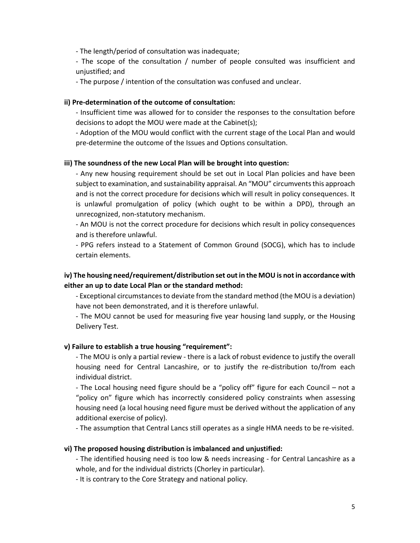- The length/period of consultation was inadequate;

- The scope of the consultation / number of people consulted was insufficient and unjustified; and

- The purpose / intention of the consultation was confused and unclear.

#### **ii) Pre-determination of the outcome of consultation:**

- Insufficient time was allowed for to consider the responses to the consultation before decisions to adopt the MOU were made at the Cabinet(s);

- Adoption of the MOU would conflict with the current stage of the Local Plan and would pre-determine the outcome of the Issues and Options consultation.

#### **iii) The soundness of the new Local Plan will be brought into question:**

- Any new housing requirement should be set out in Local Plan policies and have been subject to examination, and sustainability appraisal. An "MOU" circumvents this approach and is not the correct procedure for decisions which will result in policy consequences. It is unlawful promulgation of policy (which ought to be within a DPD), through an unrecognized, non-statutory mechanism.

- An MOU is not the correct procedure for decisions which result in policy consequences and is therefore unlawful.

- PPG refers instead to a Statement of Common Ground (SOCG), which has to include certain elements.

### **iv) The housing need/requirement/distribution set out in the MOU is not in accordance with either an up to date Local Plan or the standard method:**

- Exceptional circumstances to deviate from the standard method (the MOU is a deviation) have not been demonstrated, and it is therefore unlawful.

- The MOU cannot be used for measuring five year housing land supply, or the Housing Delivery Test.

#### **v) Failure to establish a true housing "requirement":**

- The MOU is only a partial review - there is a lack of robust evidence to justify the overall housing need for Central Lancashire, or to justify the re-distribution to/from each individual district.

- The Local housing need figure should be a "policy off" figure for each Council – not a "policy on" figure which has incorrectly considered policy constraints when assessing housing need (a local housing need figure must be derived without the application of any additional exercise of policy).

- The assumption that Central Lancs still operates as a single HMA needs to be re-visited.

#### **vi) The proposed housing distribution is imbalanced and unjustified:**

- The identified housing need is too low & needs increasing - for Central Lancashire as a whole, and for the individual districts (Chorley in particular).

- It is contrary to the Core Strategy and national policy.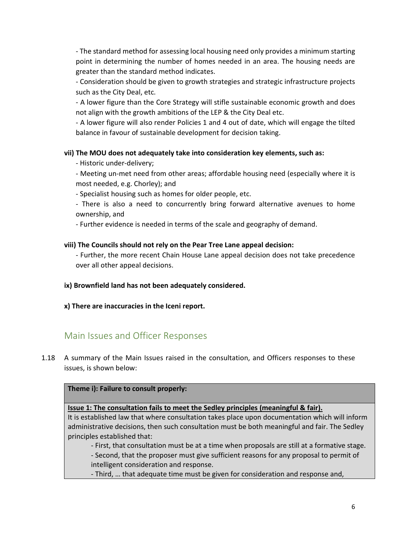- The standard method for assessing local housing need only provides a minimum starting point in determining the number of homes needed in an area. The housing needs are greater than the standard method indicates.

- Consideration should be given to growth strategies and strategic infrastructure projects such as the City Deal, etc.

- A lower figure than the Core Strategy will stifle sustainable economic growth and does not align with the growth ambitions of the LEP & the City Deal etc.

- A lower figure will also render Policies 1 and 4 out of date, which will engage the tilted balance in favour of sustainable development for decision taking.

#### **vii) The MOU does not adequately take into consideration key elements, such as:**

- Historic under-delivery;

- Meeting un-met need from other areas; affordable housing need (especially where it is most needed, e.g. Chorley); and

- Specialist housing such as homes for older people, etc.

- There is also a need to concurrently bring forward alternative avenues to home ownership, and

- Further evidence is needed in terms of the scale and geography of demand.

#### **viii) The Councils should not rely on the Pear Tree Lane appeal decision:**

- Further, the more recent Chain House Lane appeal decision does not take precedence over all other appeal decisions.

### **ix) Brownfield land has not been adequately considered.**

**x) There are inaccuracies in the Iceni report.** 

## Main Issues and Officer Responses

1.18 A summary of the Main Issues raised in the consultation, and Officers responses to these issues, is shown below:

### **Theme i): Failure to consult properly:**

### **Issue 1: The consultation fails to meet the Sedley principles (meaningful & fair).**

It is established law that where consultation takes place upon documentation which will inform administrative decisions, then such consultation must be both meaningful and fair. The Sedley principles established that:

- First, that consultation must be at a time when proposals are still at a formative stage. - Second, that the proposer must give sufficient reasons for any proposal to permit of intelligent consideration and response.

- Third, … that adequate time must be given for consideration and response and,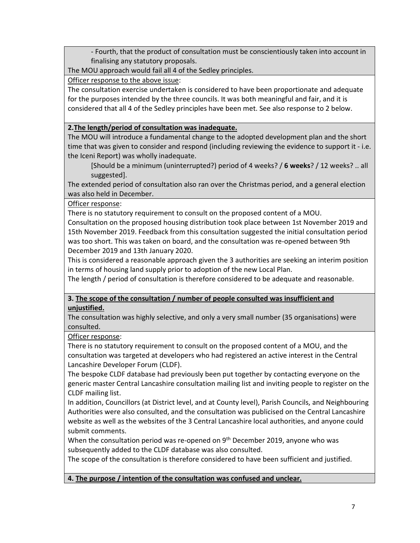- Fourth, that the product of consultation must be conscientiously taken into account in finalising any statutory proposals.

The MOU approach would fail all 4 of the Sedley principles.

### Officer response to the above issue:

The consultation exercise undertaken is considered to have been proportionate and adequate for the purposes intended by the three councils. It was both meaningful and fair, and it is considered that all 4 of the Sedley principles have been met. See also response to 2 below.

### **2.The length/period of consultation was inadequate.**

The MOU will introduce a fundamental change to the adopted development plan and the short time that was given to consider and respond (including reviewing the evidence to support it - i.e. the Iceni Report) was wholly inadequate.

[Should be a minimum (uninterrupted?) period of 4 weeks? / **6 weeks**? / 12 weeks? .. all suggested].

The extended period of consultation also ran over the Christmas period, and a general election was also held in December.

### Officer response:

There is no statutory requirement to consult on the proposed content of a MOU.

Consultation on the proposed housing distribution took place between 1st November 2019 and 15th November 2019. Feedback from this consultation suggested the initial consultation period was too short. This was taken on board, and the consultation was re-opened between 9th December 2019 and 13th January 2020.

This is considered a reasonable approach given the 3 authorities are seeking an interim position in terms of housing land supply prior to adoption of the new Local Plan.

The length / period of consultation is therefore considered to be adequate and reasonable.

## **3. The scope of the consultation / number of people consulted was insufficient and unjustified.**

The consultation was highly selective, and only a very small number (35 organisations) were consulted.

Officer response:

There is no statutory requirement to consult on the proposed content of a MOU, and the consultation was targeted at developers who had registered an active interest in the Central Lancashire Developer Forum (CLDF).

The bespoke CLDF database had previously been put together by contacting everyone on the generic master Central Lancashire consultation mailing list and inviting people to register on the CLDF mailing list.

In addition, Councillors (at District level, and at County level), Parish Councils, and Neighbouring Authorities were also consulted, and the consultation was publicised on the Central Lancashire website as well as the websites of the 3 Central Lancashire local authorities, and anyone could submit comments.

When the consultation period was re-opened on 9<sup>th</sup> December 2019, anyone who was subsequently added to the CLDF database was also consulted.

The scope of the consultation is therefore considered to have been sufficient and justified.

**4. The purpose / intention of the consultation was confused and unclear.**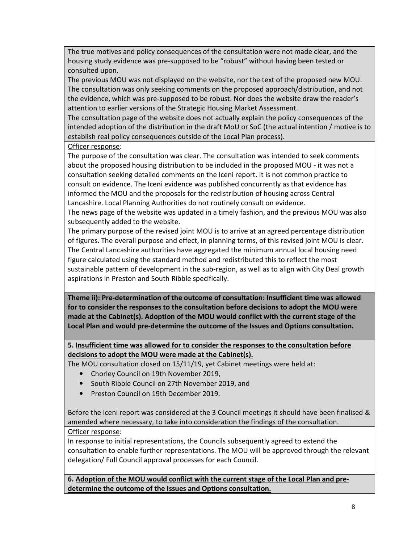The true motives and policy consequences of the consultation were not made clear, and the housing study evidence was pre-supposed to be "robust" without having been tested or consulted upon.

The previous MOU was not displayed on the website, nor the text of the proposed new MOU. The consultation was only seeking comments on the proposed approach/distribution, and not the evidence, which was pre-supposed to be robust. Nor does the website draw the reader's attention to earlier versions of the Strategic Housing Market Assessment.

The consultation page of the website does not actually explain the policy consequences of the intended adoption of the distribution in the draft MoU or SoC (the actual intention / motive is to establish real policy consequences outside of the Local Plan process).

### Officer response:

The purpose of the consultation was clear. The consultation was intended to seek comments about the proposed housing distribution to be included in the proposed MOU - it was not a consultation seeking detailed comments on the Iceni report. It is not common practice to consult on evidence. The Iceni evidence was published concurrently as that evidence has informed the MOU and the proposals for the redistribution of housing across Central Lancashire. Local Planning Authorities do not routinely consult on evidence.

The news page of the website was updated in a timely fashion, and the previous MOU was also subsequently added to the website.

The primary purpose of the revised joint MOU is to arrive at an agreed percentage distribution of figures. The overall purpose and effect, in planning terms, of this revised joint MOU is clear. The Central Lancashire authorities have aggregated the minimum annual local housing need figure calculated using the standard method and redistributed this to reflect the most sustainable pattern of development in the sub-region, as well as to align with City Deal growth aspirations in Preston and South Ribble specifically.

**Theme ii): Pre-determination of the outcome of consultation: Insufficient time was allowed for to consider the responses to the consultation before decisions to adopt the MOU were made at the Cabinet(s). Adoption of the MOU would conflict with the current stage of the Local Plan and would pre-determine the outcome of the Issues and Options consultation.** 

## **5. Insufficient time was allowed for to consider the responses to the consultation before decisions to adopt the MOU were made at the Cabinet(s).**

The MOU consultation closed on 15/11/19, yet Cabinet meetings were held at:

- Chorley Council on 19th November 2019,
- South Ribble Council on 27th November 2019, and
- Preston Council on 19th December 2019.

Before the Iceni report was considered at the 3 Council meetings it should have been finalised & amended where necessary, to take into consideration the findings of the consultation.

### Officer response:

In response to initial representations, the Councils subsequently agreed to extend the consultation to enable further representations. The MOU will be approved through the relevant delegation/ Full Council approval processes for each Council.

**6. Adoption of the MOU would conflict with the current stage of the Local Plan and predetermine the outcome of the Issues and Options consultation.**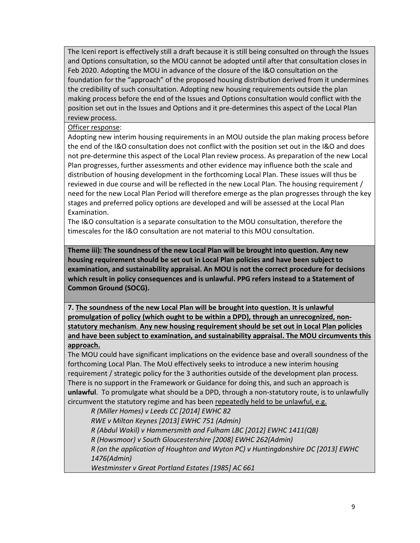The Iceni report is effectively still a draft because it is still being consulted on through the Issues and Options consultation, so the MOU cannot be adopted until after that consultation closes in Feb 2020. Adopting the MOU in advance of the closure of the I&O consultation on the foundation for the "approach" of the proposed housing distribution derived from it undermines the credibility of such consultation. Adopting new housing requirements outside the plan making process before the end of the Issues and Options consultation would conflict with the position set out in the Issues and Options and it pre-determines this aspect of the Local Plan review process.

Officer response:

Adopting new interim housing requirements in an MOU outside the plan making process before the end of the I&O consultation does not conflict with the position set out in the I&O and does not pre-determine this aspect of the Local Plan review process. As preparation of the new Local Plan progresses, further assessments and other evidence may influence both the scale and distribution of housing development in the forthcoming Local Plan. These issues will thus be reviewed in due course and will be reflected in the new Local Plan. The housing requirement / need for the new Local Plan Period will therefore emerge as the plan progresses through the key stages and preferred policy options are developed and will be assessed at the Local Plan Examination.

The I&O consultation is a separate consultation to the MOU consultation, therefore the timescales for the I&O consultation are not material to this MOU consultation.

**Theme iii): The soundness of the new Local Plan will be brought into question. Any new housing requirement should be set out in Local Plan policies and have been subject to examination, and sustainability appraisal. An MOU is not the correct procedure for decisions which result in policy consequences and is unlawful. PPG refers instead to a Statement of Common Ground (SOCG).** 

**7. The soundness of the new Local Plan will be brought into question. It is unlawful promulgation of policy (which ought to be within a DPD), through an unrecognized, nonstatutory mechanism**. **Any new housing requirement should be set out in Local Plan policies and have been subject to examination, and sustainability appraisal. The MOU circumvents this approach.**

The MOU could have significant implications on the evidence base and overall soundness of the forthcoming Local Plan. The MoU effectively seeks to introduce a new interim housing requirement / strategic policy for the 3 authorities outside of the development plan process. There is no support in the Framework or Guidance for doing this, and such an approach is **unlawful**. To promulgate what should be a DPD, through a non-statutory route, is to unlawfully circumvent the statutory regime and has been repeatedly held to be unlawful, e.g.

*R (Miller Homes) v Leeds CC [2014] EWHC 82 RWE v Milton Keynes [2013] EWHC 751 (Admin) R (Abdul Wakil) v Hammersmith and Fulham LBC [2012] EWHC 1411(QB) R (Howsmoor) v South Gloucestershire [2008] EWHC 262(Admin) R (on the application of Houghton and Wyton PC) v Huntingdonshire DC [2013] EWHC 1476(Admin)* 

*Westminster v Great Portland Estates [1985] AC 661*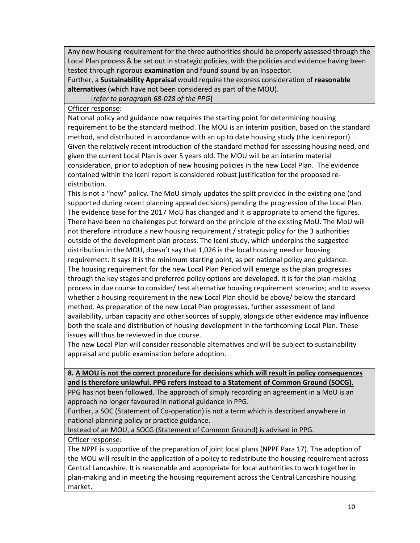Any new housing requirement for the three authorities should be properly assessed through the Local Plan process & be set out in strategic policies, with the policies and evidence having been tested through rigorous **examination** and found sound by an Inspector.

Further, a **Sustainability Appraisal** would require the express consideration of **reasonable alternatives** (which have not been considered as part of the MOU).

[*refer to paragraph 68-028 of the PPG*]

Officer response:

National policy and guidance now requires the starting point for determining housing requirement to be the standard method. The MOU is an interim position, based on the standard method, and distributed in accordance with an up to date housing study (the Iceni report). Given the relatively recent introduction of the standard method for assessing housing need, and given the current Local Plan is over 5 years old. The MOU will be an interim material consideration, prior to adoption of new housing policies in the new Local Plan. The evidence contained within the Iceni report is considered robust justification for the proposed redistribution.

This is not a "new" policy. The MoU simply updates the split provided in the existing one (and supported during recent planning appeal decisions) pending the progression of the Local Plan. The evidence base for the 2017 MoU has changed and it is appropriate to amend the figures. There have been no challenges put forward on the principle of the existing MoU. The MoU will not therefore introduce a new housing requirement / strategic policy for the 3 authorities outside of the development plan process. The Iceni study, which underpins the suggested distribution in the MOU, doesn't say that 1,026 is the local housing need or housing requirement. It says it is the minimum starting point, as per national policy and guidance. The housing requirement for the new Local Plan Period will emerge as the plan progresses through the key stages and preferred policy options are developed. It is for the plan-making process in due course to consider/ test alternative housing requirement scenarios; and to assess whether a housing requirement in the new Local Plan should be above/ below the standard method. As preparation of the new Local Plan progresses, further assessment of land availability, urban capacity and other sources of supply, alongside other evidence may influence both the scale and distribution of housing development in the forthcoming Local Plan. These issues will thus be reviewed in due course.

The new Local Plan will consider reasonable alternatives and will be subject to sustainability appraisal and public examination before adoption.

## **8. A MOU is not the correct procedure for decisions which will result in policy consequences and is therefore unlawful. PPG refers instead to a Statement of Common Ground (SOCG).**

PPG has not been followed. The approach of simply recording an agreement in a MoU is an approach no longer favoured in national guidance in PPG.

Further, a SOC (Statement of Co-operation) is not a term which is described anywhere in national planning policy or practice guidance.

Instead of an MOU, a SOCG (Statement of Common Ground) is advised in PPG.

## Officer response:

The NPPF is supportive of the preparation of joint local plans (NPPF Para 17). The adoption of the MOU will result in the application of a policy to redistribute the housing requirement across Central Lancashire. It is reasonable and appropriate for local authorities to work together in plan-making and in meeting the housing requirement across the Central Lancashire housing market.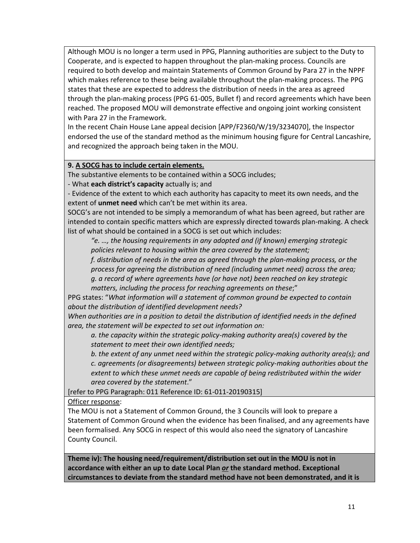Although MOU is no longer a term used in PPG, Planning authorities are subject to the Duty to Cooperate, and is expected to happen throughout the plan-making process. Councils are required to both develop and maintain Statements of Common Ground by Para 27 in the NPPF which makes reference to these being available throughout the plan-making process. The PPG states that these are expected to address the distribution of needs in the area as agreed through the plan-making process (PPG 61-005, Bullet f) and record agreements which have been reached. The proposed MOU will demonstrate effective and ongoing joint working consistent with Para 27 in the Framework.

In the recent Chain House Lane appeal decision [APP/F2360/W/19/3234070], the Inspector endorsed the use of the standard method as the minimum housing figure for Central Lancashire, and recognized the approach being taken in the MOU.

#### **9. A SOCG has to include certain elements.**

The substantive elements to be contained within a SOCG includes;

- What **each district's capacity** actually is; and

- Evidence of the extent to which each authority has capacity to meet its own needs, and the extent of **unmet need** which can't be met within its area.

SOCG's are not intended to be simply a memorandum of what has been agreed, but rather are intended to contain specific matters which are expressly directed towards plan-making. A check list of what should be contained in a SOCG is set out which includes:

*"e. …, the housing requirements in any adopted and (if known) emerging strategic policies relevant to housing within the area covered by the statement;* 

*f. distribution of needs in the area as agreed through the plan-making process, or the process for agreeing the distribution of need (including unmet need) across the area; g. a record of where agreements have (or have not) been reached on key strategic* 

*matters, including the process for reaching agreements on these*;"

PPG states: "*What information will a statement of common ground be expected to contain about the distribution of identified development needs?* 

*When authorities are in a position to detail the distribution of identified needs in the defined area, the statement will be expected to set out information on:* 

*a. the capacity within the strategic policy-making authority area(s) covered by the statement to meet their own identified needs;* 

*b. the extent of any unmet need within the strategic policy-making authority area(s); and c. agreements (or disagreements) between strategic policy-making authorities about the extent to which these unmet needs are capable of being redistributed within the wider area covered by the statement*."

[refer to PPG Paragraph: 011 Reference ID: 61-011-20190315]

Officer response:

The MOU is not a Statement of Common Ground, the 3 Councils will look to prepare a Statement of Common Ground when the evidence has been finalised, and any agreements have been formalised. Any SOCG in respect of this would also need the signatory of Lancashire County Council.

**Theme iv): The housing need/requirement/distribution set out in the MOU is not in accordance with either an up to date Local Plan** *or* **the standard method. Exceptional circumstances to deviate from the standard method have not been demonstrated, and it is**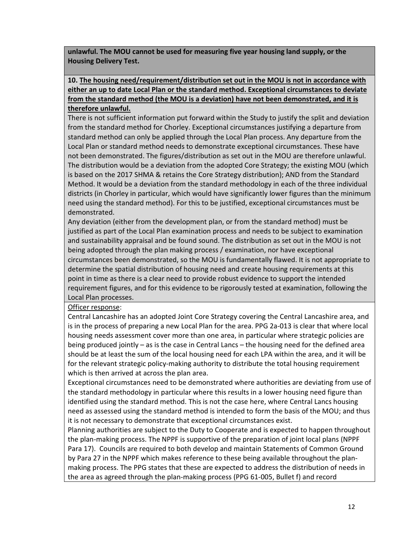**unlawful. The MOU cannot be used for measuring five year housing land supply, or the Housing Delivery Test.** 

## **10. The housing need/requirement/distribution set out in the MOU is not in accordance with either an up to date Local Plan or the standard method. Exceptional circumstances to deviate from the standard method (the MOU is a deviation) have not been demonstrated, and it is therefore unlawful.**

There is not sufficient information put forward within the Study to justify the split and deviation from the standard method for Chorley. Exceptional circumstances justifying a departure from standard method can only be applied through the Local Plan process. Any departure from the Local Plan or standard method needs to demonstrate exceptional circumstances. These have not been demonstrated. The figures/distribution as set out in the MOU are therefore unlawful. The distribution would be a deviation from the adopted Core Strategy; the existing MOU (which is based on the 2017 SHMA & retains the Core Strategy distribution); AND from the Standard Method. It would be a deviation from the standard methodology in each of the three individual districts (in Chorley in particular, which would have significantly lower figures than the minimum need using the standard method). For this to be justified, exceptional circumstances must be demonstrated.

Any deviation (either from the development plan, or from the standard method) must be justified as part of the Local Plan examination process and needs to be subject to examination and sustainability appraisal and be found sound. The distribution as set out in the MOU is not being adopted through the plan making process / examination, nor have exceptional circumstances been demonstrated, so the MOU is fundamentally flawed. It is not appropriate to determine the spatial distribution of housing need and create housing requirements at this point in time as there is a clear need to provide robust evidence to support the intended requirement figures, and for this evidence to be rigorously tested at examination, following the Local Plan processes.

### Officer response:

Central Lancashire has an adopted Joint Core Strategy covering the Central Lancashire area, and is in the process of preparing a new Local Plan for the area. PPG 2a-013 is clear that where local housing needs assessment cover more than one area, in particular where strategic policies are being produced jointly – as is the case in Central Lancs – the housing need for the defined area should be at least the sum of the local housing need for each LPA within the area, and it will be for the relevant strategic policy-making authority to distribute the total housing requirement which is then arrived at across the plan area.

Exceptional circumstances need to be demonstrated where authorities are deviating from use of the standard methodology in particular where this results in a lower housing need figure than identified using the standard method. This is not the case here, where Central Lancs housing need as assessed using the standard method is intended to form the basis of the MOU; and thus it is not necessary to demonstrate that exceptional circumstances exist.

Planning authorities are subject to the Duty to Cooperate and is expected to happen throughout the plan-making process. The NPPF is supportive of the preparation of joint local plans (NPPF Para 17). Councils are required to both develop and maintain Statements of Common Ground by Para 27 in the NPPF which makes reference to these being available throughout the planmaking process. The PPG states that these are expected to address the distribution of needs in the area as agreed through the plan-making process (PPG 61-005, Bullet f) and record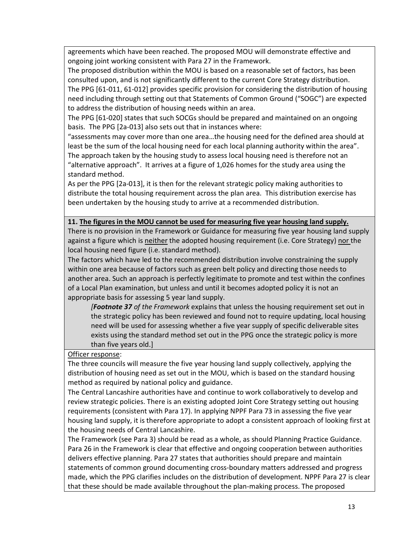agreements which have been reached. The proposed MOU will demonstrate effective and ongoing joint working consistent with Para 27 in the Framework.

The proposed distribution within the MOU is based on a reasonable set of factors, has been consulted upon, and is not significantly different to the current Core Strategy distribution. The PPG [61-011, 61-012] provides specific provision for considering the distribution of housing need including through setting out that Statements of Common Ground ("SOGC") are expected to address the distribution of housing needs within an area.

The PPG [61-020] states that such SOCGs should be prepared and maintained on an ongoing basis. The PPG [2a-013] also sets out that in instances where:

"assessments may cover more than one area…the housing need for the defined area should at least be the sum of the local housing need for each local planning authority within the area". The approach taken by the housing study to assess local housing need is therefore not an "alternative approach". It arrives at a figure of 1,026 homes for the study area using the standard method.

As per the PPG [2a-013], it is then for the relevant strategic policy making authorities to distribute the total housing requirement across the plan area. This distribution exercise has been undertaken by the housing study to arrive at a recommended distribution.

### **11. The figures in the MOU cannot be used for measuring five year housing land supply.**

There is no provision in the Framework or Guidance for measuring five year housing land supply against a figure which is neither the adopted housing requirement (i.e. Core Strategy) nor the local housing need figure (i.e. standard method).

The factors which have led to the recommended distribution involve constraining the supply within one area because of factors such as green belt policy and directing those needs to another area. Such an approach is perfectly legitimate to promote and test within the confines of a Local Plan examination, but unless and until it becomes adopted policy it is not an appropriate basis for assessing 5 year land supply.

*[Footnote 37 of the Framework* explains that unless the housing requirement set out in the strategic policy has been reviewed and found not to require updating, local housing need will be used for assessing whether a five year supply of specific deliverable sites exists using the standard method set out in the PPG once the strategic policy is more than five years old.]

Officer response:

The three councils will measure the five year housing land supply collectively, applying the distribution of housing need as set out in the MOU, which is based on the standard housing method as required by national policy and guidance.

The Central Lancashire authorities have and continue to work collaboratively to develop and review strategic policies. There is an existing adopted Joint Core Strategy setting out housing requirements (consistent with Para 17). In applying NPPF Para 73 in assessing the five year housing land supply, it is therefore appropriate to adopt a consistent approach of looking first at the housing needs of Central Lancashire.

The Framework (see Para 3) should be read as a whole, as should Planning Practice Guidance. Para 26 in the Framework is clear that effective and ongoing cooperation between authorities delivers effective planning. Para 27 states that authorities should prepare and maintain statements of common ground documenting cross-boundary matters addressed and progress made, which the PPG clarifies includes on the distribution of development. NPPF Para 27 is clear that these should be made available throughout the plan-making process. The proposed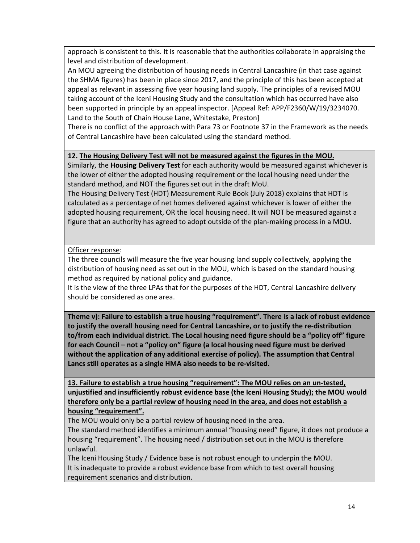approach is consistent to this. It is reasonable that the authorities collaborate in appraising the level and distribution of development.

An MOU agreeing the distribution of housing needs in Central Lancashire (in that case against the SHMA figures) has been in place since 2017, and the principle of this has been accepted at appeal as relevant in assessing five year housing land supply. The principles of a revised MOU taking account of the Iceni Housing Study and the consultation which has occurred have also been supported in principle by an appeal inspector. [Appeal Ref: APP/F2360/W/19/3234070. Land to the South of Chain House Lane, Whitestake, Preston]

There is no conflict of the approach with Para 73 or Footnote 37 in the Framework as the needs of Central Lancashire have been calculated using the standard method.

### **12. The Housing Delivery Test will not be measured against the figures in the MOU.**

Similarly, the **Housing Delivery Test** for each authority would be measured against whichever is the lower of either the adopted housing requirement or the local housing need under the standard method, and NOT the figures set out in the draft MoU.

The Housing Delivery Test (HDT) Measurement Rule Book (July 2018) explains that HDT is calculated as a percentage of net homes delivered against whichever is lower of either the adopted housing requirement, OR the local housing need. It will NOT be measured against a figure that an authority has agreed to adopt outside of the plan-making process in a MOU.

Officer response:

The three councils will measure the five year housing land supply collectively, applying the distribution of housing need as set out in the MOU, which is based on the standard housing method as required by national policy and guidance.

It is the view of the three LPAs that for the purposes of the HDT, Central Lancashire delivery should be considered as one area.

**Theme v): Failure to establish a true housing "requirement". There is a lack of robust evidence to justify the overall housing need for Central Lancashire, or to justify the re-distribution to/from each individual district. The Local housing need figure should be a "policy off" figure for each Council – not a "policy on" figure (a local housing need figure must be derived without the application of any additional exercise of policy). The assumption that Central Lancs still operates as a single HMA also needs to be re-visited.** 

**13. Failure to establish a true housing "requirement": The MOU relies on an un-tested, unjustified and insufficiently robust evidence base (the Iceni Housing Study); the MOU would therefore only be a partial review of housing need in the area, and does not establish a housing "requirement".**

The MOU would only be a partial review of housing need in the area.

The standard method identifies a minimum annual "housing need" figure, it does not produce a housing "requirement". The housing need / distribution set out in the MOU is therefore unlawful.

The Iceni Housing Study / Evidence base is not robust enough to underpin the MOU. It is inadequate to provide a robust evidence base from which to test overall housing requirement scenarios and distribution.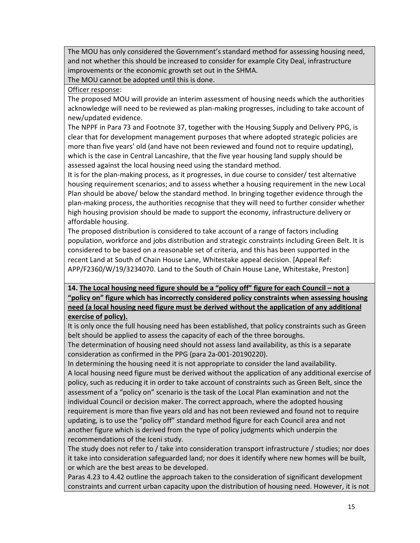The MOU has only considered the Government's standard method for assessing housing need, and not whether this should be increased to consider for example City Deal, infrastructure improvements or the economic growth set out in the SHMA.

The MOU cannot be adopted until this is done.

Officer response:

The proposed MOU will provide an interim assessment of housing needs which the authorities acknowledge will need to be reviewed as plan-making progresses, including to take account of new/updated evidence.

The NPPF in Para 73 and Footnote 37, together with the Housing Supply and Delivery PPG, is clear that for development management purposes that where adopted strategic policies are more than five years' old (and have not been reviewed and found not to require updating), which is the case in Central Lancashire, that the five year housing land supply should be assessed against the local housing need using the standard method.

It is for the plan-making process, as it progresses, in due course to consider/ test alternative housing requirement scenarios; and to assess whether a housing requirement in the new Local Plan should be above/ below the standard method. In bringing together evidence through the plan-making process, the authorities recognise that they will need to further consider whether high housing provision should be made to support the economy, infrastructure delivery or affordable housing.

The proposed distribution is considered to take account of a range of factors including population, workforce and jobs distribution and strategic constraints including Green Belt. It is considered to be based on a reasonable set of criteria, and this has been supported in the recent Land at South of Chain House Lane, Whitestake appeal decision. [Appeal Ref: APP/F2360/W/19/3234070. Land to the South of Chain House Lane, Whitestake, Preston]

## **14. The Local housing need figure should be a "policy off" figure for each Council – not a "policy on" figure which has incorrectly considered policy constraints when assessing housing need (a local housing need figure must be derived without the application of any additional exercise of policy).**

It is only once the full housing need has been established, that policy constraints such as Green belt should be applied to assess the capacity of each of the three boroughs.

The determination of housing need should not assess land availability, as this is a separate consideration as confirmed in the PPG (para 2a-001-20190220).

In determining the housing need it is not appropriate to consider the land availability. A local housing need figure must be derived without the application of any additional exercise of policy, such as reducing it in order to take account of constraints such as Green Belt, since the assessment of a "policy on" scenario is the task of the Local Plan examination and not the individual Council or decision maker. The correct approach, where the adopted housing requirement is more than five years old and has not been reviewed and found not to require updating, is to use the "policy off" standard method figure for each Council area and not another figure which is derived from the type of policy judgments which underpin the recommendations of the Iceni study.

The study does not refer to / take into consideration transport infrastructure / studies; nor does it take into consideration safeguarded land; nor does it identify where new homes will be built, or which are the best areas to be developed.

Paras 4.23 to 4.42 outline the approach taken to the consideration of significant development constraints and current urban capacity upon the distribution of housing need. However, it is not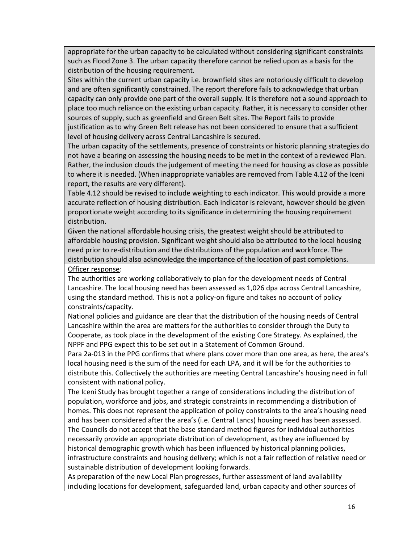appropriate for the urban capacity to be calculated without considering significant constraints such as Flood Zone 3. The urban capacity therefore cannot be relied upon as a basis for the distribution of the housing requirement.

Sites within the current urban capacity i.e. brownfield sites are notoriously difficult to develop and are often significantly constrained. The report therefore fails to acknowledge that urban capacity can only provide one part of the overall supply. It is therefore not a sound approach to place too much reliance on the existing urban capacity. Rather, it is necessary to consider other sources of supply, such as greenfield and Green Belt sites. The Report fails to provide justification as to why Green Belt release has not been considered to ensure that a sufficient level of housing delivery across Central Lancashire is secured.

The urban capacity of the settlements, presence of constraints or historic planning strategies do not have a bearing on assessing the housing needs to be met in the context of a reviewed Plan. Rather, the inclusion clouds the judgement of meeting the need for housing as close as possible to where it is needed. (When inappropriate variables are removed from Table 4.12 of the Iceni report, the results are very different).

Table 4.12 should be revised to include weighting to each indicator. This would provide a more accurate reflection of housing distribution. Each indicator is relevant, however should be given proportionate weight according to its significance in determining the housing requirement distribution.

Given the national affordable housing crisis, the greatest weight should be attributed to affordable housing provision. Significant weight should also be attributed to the local housing need prior to re-distribution and the distributions of the population and workforce. The distribution should also acknowledge the importance of the location of past completions. Officer response:

The authorities are working collaboratively to plan for the development needs of Central Lancashire. The local housing need has been assessed as 1,026 dpa across Central Lancashire, using the standard method. This is not a policy-on figure and takes no account of policy constraints/capacity.

National policies and guidance are clear that the distribution of the housing needs of Central Lancashire within the area are matters for the authorities to consider through the Duty to Cooperate, as took place in the development of the existing Core Strategy. As explained, the NPPF and PPG expect this to be set out in a Statement of Common Ground.

Para 2a-013 in the PPG confirms that where plans cover more than one area, as here, the area's local housing need is the sum of the need for each LPA, and it will be for the authorities to distribute this. Collectively the authorities are meeting Central Lancashire's housing need in full consistent with national policy.

The Iceni Study has brought together a range of considerations including the distribution of population, workforce and jobs, and strategic constraints in recommending a distribution of homes. This does not represent the application of policy constraints to the area's housing need and has been considered after the area's (i.e. Central Lancs) housing need has been assessed. The Councils do not accept that the base standard method figures for individual authorities necessarily provide an appropriate distribution of development, as they are influenced by historical demographic growth which has been influenced by historical planning policies, infrastructure constraints and housing delivery; which is not a fair reflection of relative need or sustainable distribution of development looking forwards.

As preparation of the new Local Plan progresses, further assessment of land availability including locations for development, safeguarded land, urban capacity and other sources of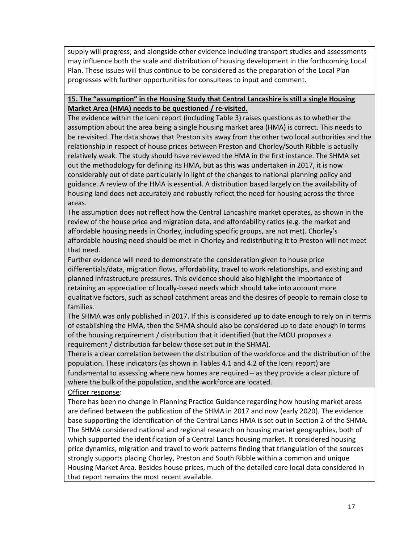supply will progress; and alongside other evidence including transport studies and assessments may influence both the scale and distribution of housing development in the forthcoming Local Plan. These issues will thus continue to be considered as the preparation of the Local Plan progresses with further opportunities for consultees to input and comment.

### **15. The "assumption" in the Housing Study that Central Lancashire is still a single Housing Market Area (HMA) needs to be questioned / re-visited.**

The evidence within the Iceni report (including Table 3) raises questions as to whether the assumption about the area being a single housing market area (HMA) is correct. This needs to be re-visited. The data shows that Preston sits away from the other two local authorities and the relationship in respect of house prices between Preston and Chorley/South Ribble is actually relatively weak. The study should have reviewed the HMA in the first instance. The SHMA set out the methodology for defining its HMA, but as this was undertaken in 2017, it is now considerably out of date particularly in light of the changes to national planning policy and guidance. A review of the HMA is essential. A distribution based largely on the availability of housing land does not accurately and robustly reflect the need for housing across the three areas.

The assumption does not reflect how the Central Lancashire market operates, as shown in the review of the house price and migration data, and affordability ratios (e.g. the market and affordable housing needs in Chorley, including specific groups, are not met). Chorley's affordable housing need should be met in Chorley and redistributing it to Preston will not meet that need.

Further evidence will need to demonstrate the consideration given to house price differentials/data, migration flows, affordability, travel to work relationships, and existing and planned infrastructure pressures. This evidence should also highlight the importance of retaining an appreciation of locally-based needs which should take into account more qualitative factors, such as school catchment areas and the desires of people to remain close to families.

The SHMA was only published in 2017. If this is considered up to date enough to rely on in terms of establishing the HMA, then the SHMA should also be considered up to date enough in terms of the housing requirement / distribution that it identified (but the MOU proposes a requirement / distribution far below those set out in the SHMA).

There is a clear correlation between the distribution of the workforce and the distribution of the population. These indicators (as shown in Tables 4.1 and 4.2 of the Iceni report) are fundamental to assessing where new homes are required – as they provide a clear picture of where the bulk of the population, and the workforce are located.

Officer response:

There has been no change in Planning Practice Guidance regarding how housing market areas are defined between the publication of the SHMA in 2017 and now (early 2020). The evidence base supporting the identification of the Central Lancs HMA is set out in Section 2 of the SHMA. The SHMA considered national and regional research on housing market geographies, both of which supported the identification of a Central Lancs housing market. It considered housing price dynamics, migration and travel to work patterns finding that triangulation of the sources strongly supports placing Chorley, Preston and South Ribble within a common and unique Housing Market Area. Besides house prices, much of the detailed core local data considered in that report remains the most recent available.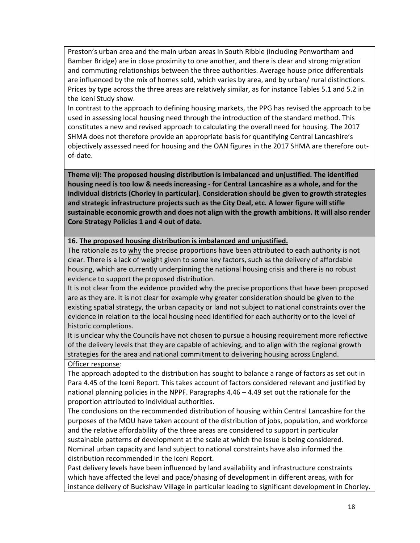Preston's urban area and the main urban areas in South Ribble (including Penwortham and Bamber Bridge) are in close proximity to one another, and there is clear and strong migration and commuting relationships between the three authorities. Average house price differentials are influenced by the mix of homes sold, which varies by area, and by urban/ rural distinctions. Prices by type across the three areas are relatively similar, as for instance Tables 5.1 and 5.2 in the Iceni Study show.

In contrast to the approach to defining housing markets, the PPG has revised the approach to be used in assessing local housing need through the introduction of the standard method. This constitutes a new and revised approach to calculating the overall need for housing. The 2017 SHMA does not therefore provide an appropriate basis for quantifying Central Lancashire's objectively assessed need for housing and the OAN figures in the 2017 SHMA are therefore outof-date.

**Theme vi): The proposed housing distribution is imbalanced and unjustified. The identified housing need is too low & needs increasing - for Central Lancashire as a whole, and for the individual districts (Chorley in particular). Consideration should be given to growth strategies and strategic infrastructure projects such as the City Deal, etc. A lower figure will stifle sustainable economic growth and does not align with the growth ambitions. It will also render Core Strategy Policies 1 and 4 out of date.** 

### **16. The proposed housing distribution is imbalanced and unjustified.**

The rationale as to why the precise proportions have been attributed to each authority is not clear. There is a lack of weight given to some key factors, such as the delivery of affordable housing, which are currently underpinning the national housing crisis and there is no robust evidence to support the proposed distribution.

It is not clear from the evidence provided why the precise proportions that have been proposed are as they are. It is not clear for example why greater consideration should be given to the existing spatial strategy, the urban capacity or land not subject to national constraints over the evidence in relation to the local housing need identified for each authority or to the level of historic completions.

It is unclear why the Councils have not chosen to pursue a housing requirement more reflective of the delivery levels that they are capable of achieving, and to align with the regional growth strategies for the area and national commitment to delivering housing across England. Officer response:

The approach adopted to the distribution has sought to balance a range of factors as set out in Para 4.45 of the Iceni Report. This takes account of factors considered relevant and justified by national planning policies in the NPPF. Paragraphs 4.46 – 4.49 set out the rationale for the proportion attributed to individual authorities.

The conclusions on the recommended distribution of housing within Central Lancashire for the purposes of the MOU have taken account of the distribution of jobs, population, and workforce and the relative affordability of the three areas are considered to support in particular sustainable patterns of development at the scale at which the issue is being considered. Nominal urban capacity and land subject to national constraints have also informed the distribution recommended in the Iceni Report.

Past delivery levels have been influenced by land availability and infrastructure constraints which have affected the level and pace/phasing of development in different areas, with for instance delivery of Buckshaw Village in particular leading to significant development in Chorley.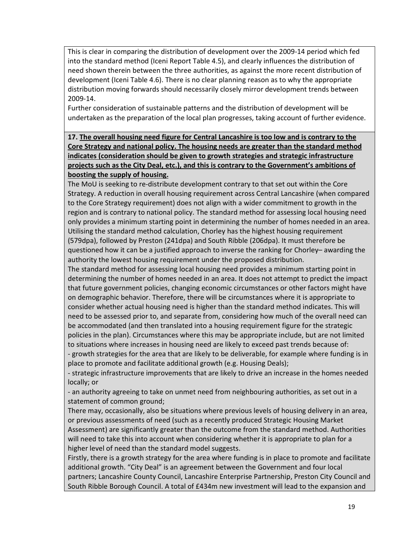This is clear in comparing the distribution of development over the 2009-14 period which fed into the standard method (Iceni Report Table 4.5), and clearly influences the distribution of need shown therein between the three authorities, as against the more recent distribution of development (Iceni Table 4.6). There is no clear planning reason as to why the appropriate distribution moving forwards should necessarily closely mirror development trends between 2009-14.

Further consideration of sustainable patterns and the distribution of development will be undertaken as the preparation of the local plan progresses, taking account of further evidence.

**17. The overall housing need figure for Central Lancashire is too low and is contrary to the Core Strategy and national policy. The housing needs are greater than the standard method indicates (consideration should be given to growth strategies and strategic infrastructure projects such as the City Deal, etc.), and this is contrary to the Government's ambitions of boosting the supply of housing.** 

The MoU is seeking to re-distribute development contrary to that set out within the Core Strategy. A reduction in overall housing requirement across Central Lancashire (when compared to the Core Strategy requirement) does not align with a wider commitment to growth in the region and is contrary to national policy. The standard method for assessing local housing need only provides a minimum starting point in determining the number of homes needed in an area. Utilising the standard method calculation, Chorley has the highest housing requirement (579dpa), followed by Preston (241dpa) and South Ribble (206dpa). It must therefore be questioned how it can be a justified approach to inverse the ranking for Chorley– awarding the authority the lowest housing requirement under the proposed distribution.

The standard method for assessing local housing need provides a minimum starting point in determining the number of homes needed in an area. It does not attempt to predict the impact that future government policies, changing economic circumstances or other factors might have on demographic behavior. Therefore, there will be circumstances where it is appropriate to consider whether actual housing need is higher than the standard method indicates. This will need to be assessed prior to, and separate from, considering how much of the overall need can be accommodated (and then translated into a housing requirement figure for the strategic policies in the plan). Circumstances where this may be appropriate include, but are not limited to situations where increases in housing need are likely to exceed past trends because of: - growth strategies for the area that are likely to be deliverable, for example where funding is in

place to promote and facilitate additional growth (e.g. Housing Deals);

- strategic infrastructure improvements that are likely to drive an increase in the homes needed locally; or

- an authority agreeing to take on unmet need from neighbouring authorities, as set out in a statement of common ground;

There may, occasionally, also be situations where previous levels of housing delivery in an area, or previous assessments of need (such as a recently produced Strategic Housing Market Assessment) are significantly greater than the outcome from the standard method. Authorities will need to take this into account when considering whether it is appropriate to plan for a higher level of need than the standard model suggests.

Firstly, there is a growth strategy for the area where funding is in place to promote and facilitate additional growth. "City Deal" is an agreement between the Government and four local partners; Lancashire County Council, Lancashire Enterprise Partnership, Preston City Council and South Ribble Borough Council. A total of £434m new investment will lead to the expansion and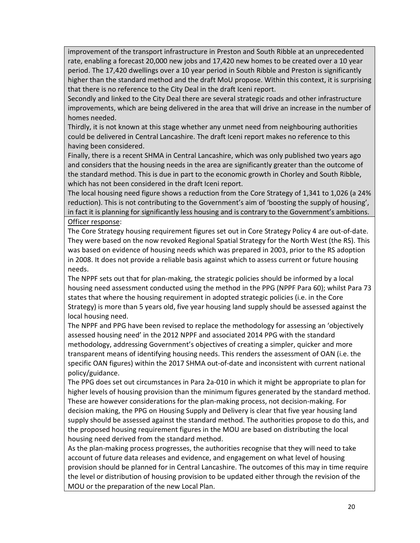improvement of the transport infrastructure in Preston and South Ribble at an unprecedented rate, enabling a forecast 20,000 new jobs and 17,420 new homes to be created over a 10 year period. The 17,420 dwellings over a 10 year period in South Ribble and Preston is significantly higher than the standard method and the draft MoU propose. Within this context, it is surprising that there is no reference to the City Deal in the draft Iceni report.

Secondly and linked to the City Deal there are several strategic roads and other infrastructure improvements, which are being delivered in the area that will drive an increase in the number of homes needed.

Thirdly, it is not known at this stage whether any unmet need from neighbouring authorities could be delivered in Central Lancashire. The draft Iceni report makes no reference to this having been considered.

Finally, there is a recent SHMA in Central Lancashire, which was only published two years ago and considers that the housing needs in the area are significantly greater than the outcome of the standard method. This is due in part to the economic growth in Chorley and South Ribble, which has not been considered in the draft Iceni report.

The local housing need figure shows a reduction from the Core Strategy of 1,341 to 1,026 (a 24% reduction). This is not contributing to the Government's aim of 'boosting the supply of housing', in fact it is planning for significantly less housing and is contrary to the Government's ambitions.

#### Officer response:

The Core Strategy housing requirement figures set out in Core Strategy Policy 4 are out-of-date. They were based on the now revoked Regional Spatial Strategy for the North West (the RS). This was based on evidence of housing needs which was prepared in 2003, prior to the RS adoption in 2008. It does not provide a reliable basis against which to assess current or future housing needs.

The NPPF sets out that for plan-making, the strategic policies should be informed by a local housing need assessment conducted using the method in the PPG (NPPF Para 60); whilst Para 73 states that where the housing requirement in adopted strategic policies (i.e. in the Core Strategy) is more than 5 years old, five year housing land supply should be assessed against the local housing need.

The NPPF and PPG have been revised to replace the methodology for assessing an 'objectively assessed housing need' in the 2012 NPPF and associated 2014 PPG with the standard methodology, addressing Government's objectives of creating a simpler, quicker and more transparent means of identifying housing needs. This renders the assessment of OAN (i.e. the specific OAN figures) within the 2017 SHMA out-of-date and inconsistent with current national policy/guidance.

The PPG does set out circumstances in Para 2a-010 in which it might be appropriate to plan for higher levels of housing provision than the minimum figures generated by the standard method. These are however considerations for the plan-making process, not decision-making. For decision making, the PPG on Housing Supply and Delivery is clear that five year housing land supply should be assessed against the standard method. The authorities propose to do this, and the proposed housing requirement figures in the MOU are based on distributing the local housing need derived from the standard method.

As the plan-making process progresses, the authorities recognise that they will need to take account of future data releases and evidence, and engagement on what level of housing provision should be planned for in Central Lancashire. The outcomes of this may in time require the level or distribution of housing provision to be updated either through the revision of the MOU or the preparation of the new Local Plan.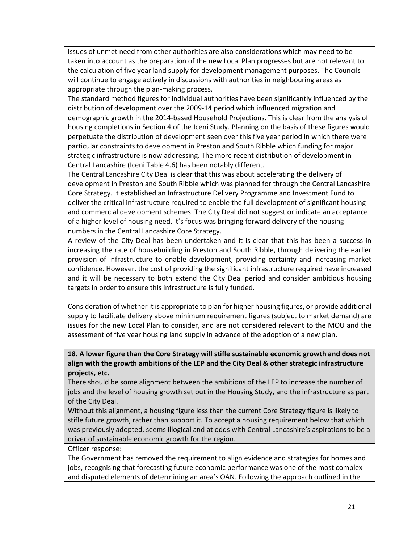Issues of unmet need from other authorities are also considerations which may need to be taken into account as the preparation of the new Local Plan progresses but are not relevant to the calculation of five year land supply for development management purposes. The Councils will continue to engage actively in discussions with authorities in neighbouring areas as appropriate through the plan-making process.

The standard method figures for individual authorities have been significantly influenced by the distribution of development over the 2009-14 period which influenced migration and demographic growth in the 2014-based Household Projections. This is clear from the analysis of housing completions in Section 4 of the Iceni Study. Planning on the basis of these figures would perpetuate the distribution of development seen over this five year period in which there were particular constraints to development in Preston and South Ribble which funding for major strategic infrastructure is now addressing. The more recent distribution of development in Central Lancashire (Iceni Table 4.6) has been notably different.

The Central Lancashire City Deal is clear that this was about accelerating the delivery of development in Preston and South Ribble which was planned for through the Central Lancashire Core Strategy. It established an Infrastructure Delivery Programme and Investment Fund to deliver the critical infrastructure required to enable the full development of significant housing and commercial development schemes. The City Deal did not suggest or indicate an acceptance of a higher level of housing need, it's focus was bringing forward delivery of the housing numbers in the Central Lancashire Core Strategy.

A review of the City Deal has been undertaken and it is clear that this has been a success in increasing the rate of housebuilding in Preston and South Ribble, through delivering the earlier provision of infrastructure to enable development, providing certainty and increasing market confidence. However, the cost of providing the significant infrastructure required have increased and it will be necessary to both extend the City Deal period and consider ambitious housing targets in order to ensure this infrastructure is fully funded.

Consideration of whether it is appropriate to plan for higher housing figures, or provide additional supply to facilitate delivery above minimum requirement figures (subject to market demand) are issues for the new Local Plan to consider, and are not considered relevant to the MOU and the assessment of five year housing land supply in advance of the adoption of a new plan.

**18. A lower figure than the Core Strategy will stifle sustainable economic growth and does not align with the growth ambitions of the LEP and the City Deal & other strategic infrastructure projects, etc.** 

There should be some alignment between the ambitions of the LEP to increase the number of jobs and the level of housing growth set out in the Housing Study, and the infrastructure as part of the City Deal.

Without this alignment, a housing figure less than the current Core Strategy figure is likely to stifle future growth, rather than support it. To accept a housing requirement below that which was previously adopted, seems illogical and at odds with Central Lancashire's aspirations to be a driver of sustainable economic growth for the region.

Officer response:

The Government has removed the requirement to align evidence and strategies for homes and jobs, recognising that forecasting future economic performance was one of the most complex and disputed elements of determining an area's OAN. Following the approach outlined in the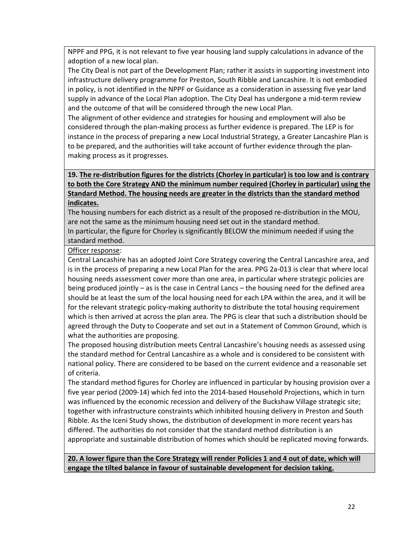NPPF and PPG, it is not relevant to five year housing land supply calculations in advance of the adoption of a new local plan.

The City Deal is not part of the Development Plan; rather it assists in supporting investment into infrastructure delivery programme for Preston, South Ribble and Lancashire. It is not embodied in policy, is not identified in the NPPF or Guidance as a consideration in assessing five year land supply in advance of the Local Plan adoption. The City Deal has undergone a mid-term review and the outcome of that will be considered through the new Local Plan.

The alignment of other evidence and strategies for housing and employment will also be considered through the plan-making process as further evidence is prepared. The LEP is for instance in the process of preparing a new Local Industrial Strategy, a Greater Lancashire Plan is to be prepared, and the authorities will take account of further evidence through the planmaking process as it progresses.

### **19. The re-distribution figures for the districts (Chorley in particular) is too low and is contrary to both the Core Strategy AND the minimum number required (Chorley in particular) using the Standard Method. The housing needs are greater in the districts than the standard method indicates.**

The housing numbers for each district as a result of the proposed re-distribution in the MOU, are not the same as the minimum housing need set out in the standard method.

In particular, the figure for Chorley is significantly BELOW the minimum needed if using the standard method.

### Officer response:

Central Lancashire has an adopted Joint Core Strategy covering the Central Lancashire area, and is in the process of preparing a new Local Plan for the area. PPG 2a-013 is clear that where local housing needs assessment cover more than one area, in particular where strategic policies are being produced jointly – as is the case in Central Lancs – the housing need for the defined area should be at least the sum of the local housing need for each LPA within the area, and it will be for the relevant strategic policy-making authority to distribute the total housing requirement which is then arrived at across the plan area. The PPG is clear that such a distribution should be agreed through the Duty to Cooperate and set out in a Statement of Common Ground, which is what the authorities are proposing.

The proposed housing distribution meets Central Lancashire's housing needs as assessed using the standard method for Central Lancashire as a whole and is considered to be consistent with national policy. There are considered to be based on the current evidence and a reasonable set of criteria.

The standard method figures for Chorley are influenced in particular by housing provision over a five year period (2009-14) which fed into the 2014-based Household Projections, which in turn was influenced by the economic recession and delivery of the Buckshaw Village strategic site; together with infrastructure constraints which inhibited housing delivery in Preston and South Ribble. As the Iceni Study shows, the distribution of development in more recent years has differed. The authorities do not consider that the standard method distribution is an appropriate and sustainable distribution of homes which should be replicated moving forwards.

**20. A lower figure than the Core Strategy will render Policies 1 and 4 out of date, which will engage the tilted balance in favour of sustainable development for decision taking.**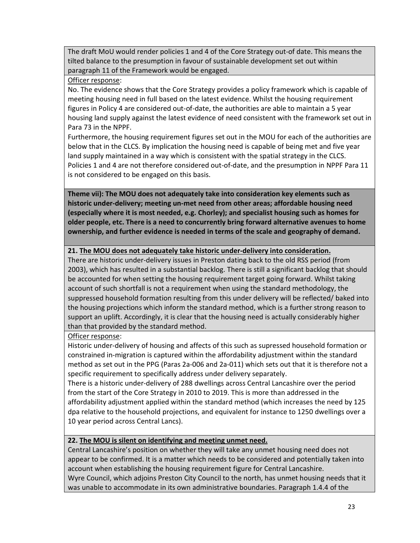The draft MoU would render policies 1 and 4 of the Core Strategy out-of date. This means the tilted balance to the presumption in favour of sustainable development set out within paragraph 11 of the Framework would be engaged.

### Officer response:

No. The evidence shows that the Core Strategy provides a policy framework which is capable of meeting housing need in full based on the latest evidence. Whilst the housing requirement figures in Policy 4 are considered out-of-date, the authorities are able to maintain a 5 year housing land supply against the latest evidence of need consistent with the framework set out in Para 73 in the NPPF.

Furthermore, the housing requirement figures set out in the MOU for each of the authorities are below that in the CLCS. By implication the housing need is capable of being met and five year land supply maintained in a way which is consistent with the spatial strategy in the CLCS. Policies 1 and 4 are not therefore considered out-of-date, and the presumption in NPPF Para 11 is not considered to be engaged on this basis.

**Theme vii): The MOU does not adequately take into consideration key elements such as historic under-delivery; meeting un-met need from other areas; affordable housing need (especially where it is most needed, e.g. Chorley); and specialist housing such as homes for older people, etc. There is a need to concurrently bring forward alternative avenues to home ownership, and further evidence is needed in terms of the scale and geography of demand.** 

### **21. The MOU does not adequately take historic under-delivery into consideration.**

There are historic under-delivery issues in Preston dating back to the old RSS period (from 2003), which has resulted in a substantial backlog. There is still a significant backlog that should be accounted for when setting the housing requirement target going forward. Whilst taking account of such shortfall is not a requirement when using the standard methodology, the suppressed household formation resulting from this under delivery will be reflected/ baked into the housing projections which inform the standard method, which is a further strong reason to support an uplift. Accordingly, it is clear that the housing need is actually considerably higher than that provided by the standard method.

Officer response:

Historic under-delivery of housing and affects of this such as supressed household formation or constrained in-migration is captured within the affordability adjustment within the standard method as set out in the PPG (Paras 2a-006 and 2a-011) which sets out that it is therefore not a specific requirement to specifically address under delivery separately.

There is a historic under-delivery of 288 dwellings across Central Lancashire over the period from the start of the Core Strategy in 2010 to 2019. This is more than addressed in the affordability adjustment applied within the standard method (which increases the need by 125 dpa relative to the household projections, and equivalent for instance to 1250 dwellings over a 10 year period across Central Lancs).

### **22. The MOU is silent on identifying and meeting unmet need.**

Central Lancashire's position on whether they will take any unmet housing need does not appear to be confirmed. It is a matter which needs to be considered and potentially taken into account when establishing the housing requirement figure for Central Lancashire. Wyre Council, which adjoins Preston City Council to the north, has unmet housing needs that it was unable to accommodate in its own administrative boundaries. Paragraph 1.4.4 of the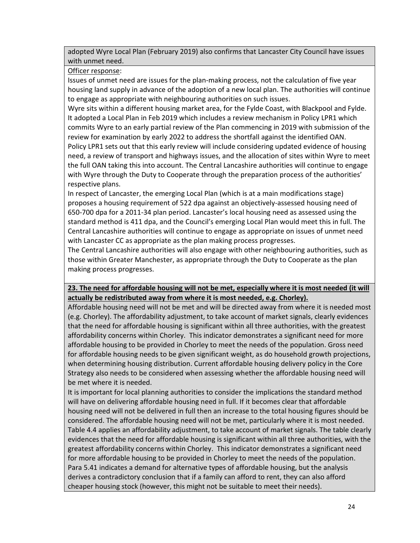adopted Wyre Local Plan (February 2019) also confirms that Lancaster City Council have issues with unmet need.

Officer response:

Issues of unmet need are issues for the plan-making process, not the calculation of five year housing land supply in advance of the adoption of a new local plan. The authorities will continue to engage as appropriate with neighbouring authorities on such issues.

Wyre sits within a different housing market area, for the Fylde Coast, with Blackpool and Fylde. It adopted a Local Plan in Feb 2019 which includes a review mechanism in Policy LPR1 which commits Wyre to an early partial review of the Plan commencing in 2019 with submission of the review for examination by early 2022 to address the shortfall against the identified OAN.

Policy LPR1 sets out that this early review will include considering updated evidence of housing need, a review of transport and highways issues, and the allocation of sites within Wyre to meet the full OAN taking this into account. The Central Lancashire authorities will continue to engage with Wyre through the Duty to Cooperate through the preparation process of the authorities' respective plans.

In respect of Lancaster, the emerging Local Plan (which is at a main modifications stage) proposes a housing requirement of 522 dpa against an objectively-assessed housing need of 650-700 dpa for a 2011-34 plan period. Lancaster's local housing need as assessed using the standard method is 411 dpa, and the Council's emerging Local Plan would meet this in full. The Central Lancashire authorities will continue to engage as appropriate on issues of unmet need with Lancaster CC as appropriate as the plan making process progresses.

The Central Lancashire authorities will also engage with other neighbouring authorities, such as those within Greater Manchester, as appropriate through the Duty to Cooperate as the plan making process progresses.

## **23. The need for affordable housing will not be met, especially where it is most needed (it will actually be redistributed away from where it is most needed, e.g. Chorley).**

Affordable housing need will not be met and will be directed away from where it is needed most (e.g. Chorley). The affordability adjustment, to take account of market signals, clearly evidences that the need for affordable housing is significant within all three authorities, with the greatest affordability concerns within Chorley. This indicator demonstrates a significant need for more affordable housing to be provided in Chorley to meet the needs of the population. Gross need for affordable housing needs to be given significant weight, as do household growth projections, when determining housing distribution. Current affordable housing delivery policy in the Core Strategy also needs to be considered when assessing whether the affordable housing need will be met where it is needed.

It is important for local planning authorities to consider the implications the standard method will have on delivering affordable housing need in full. If it becomes clear that affordable housing need will not be delivered in full then an increase to the total housing figures should be considered. The affordable housing need will not be met, particularly where it is most needed. Table 4.4 applies an affordability adjustment, to take account of market signals. The table clearly evidences that the need for affordable housing is significant within all three authorities, with the greatest affordability concerns within Chorley. This indicator demonstrates a significant need for more affordable housing to be provided in Chorley to meet the needs of the population. Para 5.41 indicates a demand for alternative types of affordable housing, but the analysis derives a contradictory conclusion that if a family can afford to rent, they can also afford cheaper housing stock (however, this might not be suitable to meet their needs).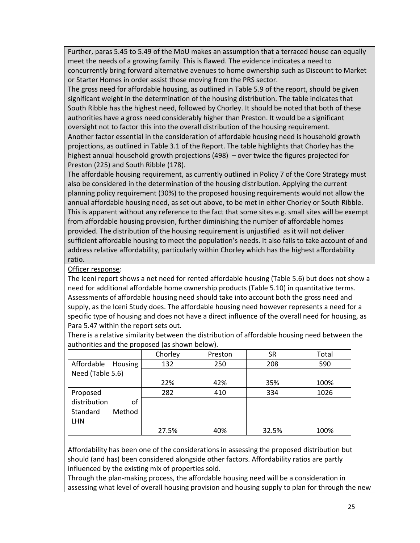Further, paras 5.45 to 5.49 of the MoU makes an assumption that a terraced house can equally meet the needs of a growing family. This is flawed. The evidence indicates a need to concurrently bring forward alternative avenues to home ownership such as Discount to Market or Starter Homes in order assist those moving from the PRS sector.

The gross need for affordable housing, as outlined in Table 5.9 of the report, should be given significant weight in the determination of the housing distribution. The table indicates that South Ribble has the highest need, followed by Chorley. It should be noted that both of these authorities have a gross need considerably higher than Preston. It would be a significant oversight not to factor this into the overall distribution of the housing requirement. Another factor essential in the consideration of affordable housing need is household growth projections, as outlined in Table 3.1 of the Report. The table highlights that Chorley has the highest annual household growth projections (498) – over twice the figures projected for

Preston (225) and South Ribble (178).

The affordable housing requirement, as currently outlined in Policy 7 of the Core Strategy must also be considered in the determination of the housing distribution. Applying the current planning policy requirement (30%) to the proposed housing requirements would not allow the annual affordable housing need, as set out above, to be met in either Chorley or South Ribble. This is apparent without any reference to the fact that some sites e.g. small sites will be exempt from affordable housing provision, further diminishing the number of affordable homes provided. The distribution of the housing requirement is unjustified as it will not deliver sufficient affordable housing to meet the population's needs. It also fails to take account of and address relative affordability, particularly within Chorley which has the highest affordability ratio.

Officer response:

The Iceni report shows a net need for rented affordable housing (Table 5.6) but does not show a need for additional affordable home ownership products (Table 5.10) in quantitative terms. Assessments of affordable housing need should take into account both the gross need and supply, as the Iceni Study does. The affordable housing need however represents a need for a specific type of housing and does not have a direct influence of the overall need for housing, as Para 5.47 within the report sets out.

|                    | Chorley | Preston | <b>SR</b> | Total |
|--------------------|---------|---------|-----------|-------|
| Affordable Housing | 132     | 250     | 208       | 590   |
| Need (Table 5.6)   |         |         |           |       |
|                    | 22%     | 42%     | 35%       | 100%  |
| Proposed           | 282     | 410     | 334       | 1026  |
| distribution<br>οf |         |         |           |       |
| Method<br>Standard |         |         |           |       |
| <b>LHN</b>         |         |         |           |       |
|                    | 27.5%   | 40%     | 32.5%     | 100%  |

There is a relative similarity between the distribution of affordable housing need between the authorities and the proposed (as shown below).

Affordability has been one of the considerations in assessing the proposed distribution but should (and has) been considered alongside other factors. Affordability ratios are partly influenced by the existing mix of properties sold.

Through the plan-making process, the affordable housing need will be a consideration in assessing what level of overall housing provision and housing supply to plan for through the new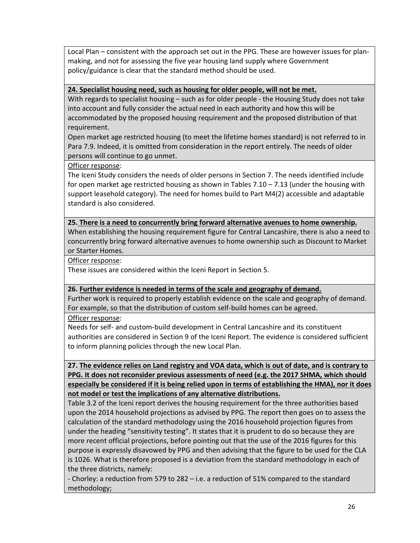Local Plan – consistent with the approach set out in the PPG. These are however issues for planmaking, and not for assessing the five year housing land supply where Government policy/guidance is clear that the standard method should be used.

#### **24. Specialist housing need, such as housing for older people, will not be met.**

With regards to specialist housing – such as for older people - the Housing Study does not take into account and fully consider the actual need in each authority and how this will be accommodated by the proposed housing requirement and the proposed distribution of that requirement.

Open market age restricted housing (to meet the lifetime homes standard) is not referred to in Para 7.9. Indeed, it is omitted from consideration in the report entirely. The needs of older persons will continue to go unmet.

Officer response:

The Iceni Study considers the needs of older persons in Section 7. The needs identified include for open market age restricted housing as shown in Tables  $7.10 - 7.13$  (under the housing with support leasehold category). The need for homes build to Part M4(2) accessible and adaptable standard is also considered.

#### **25. There is a need to concurrently bring forward alternative avenues to home ownership.**

When establishing the housing requirement figure for Central Lancashire, there is also a need to concurrently bring forward alternative avenues to home ownership such as Discount to Market or Starter Homes.

Officer response:

These issues are considered within the Iceni Report in Section 5.

#### **26. Further evidence is needed in terms of the scale and geography of demand.**

Further work is required to properly establish evidence on the scale and geography of demand. For example, so that the distribution of custom self-build homes can be agreed.

Officer response:

Needs for self- and custom-build development in Central Lancashire and its constituent authorities are considered in Section 9 of the Iceni Report. The evidence is considered sufficient to inform planning policies through the new Local Plan.

**27. The evidence relies on Land registry and VOA data, which is out of date, and is contrary to PPG. It does not reconsider previous assessments of need (e.g. the 2017 SHMA, which should especially be considered if it is being relied upon in terms of establishing the HMA), nor it does not model or test the implications of any alternative distributions.** 

Table 3.2 of the Iceni report derives the housing requirement for the three authorities based upon the 2014 household projections as advised by PPG. The report then goes on to assess the calculation of the standard methodology using the 2016 household projection figures from under the heading "sensitivity testing". It states that it is prudent to do so because they are more recent official projections, before pointing out that the use of the 2016 figures for this purpose is expressly disavowed by PPG and then advising that the figure to be used for the CLA is 1026. What is therefore proposed is a deviation from the standard methodology in each of the three districts, namely:

- Chorley: a reduction from 579 to 282 – i.e. a reduction of 51% compared to the standard methodology;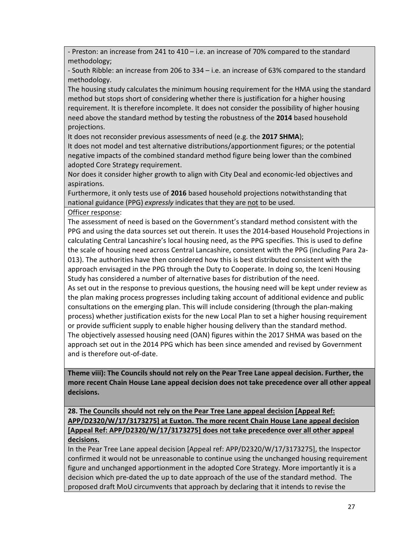- Preston: an increase from 241 to 410 – i.e. an increase of 70% compared to the standard methodology;

- South Ribble: an increase from 206 to 334 – i.e. an increase of 63% compared to the standard methodology.

The housing study calculates the minimum housing requirement for the HMA using the standard method but stops short of considering whether there is justification for a higher housing requirement. It is therefore incomplete. It does not consider the possibility of higher housing need above the standard method by testing the robustness of the **2014** based household projections.

It does not reconsider previous assessments of need (e.g. the **2017 SHMA**);

It does not model and test alternative distributions/apportionment figures; or the potential negative impacts of the combined standard method figure being lower than the combined adopted Core Strategy requirement.

Nor does it consider higher growth to align with City Deal and economic-led objectives and aspirations.

Furthermore, it only tests use of **2016** based household projections notwithstanding that national guidance (PPG) *expressly* indicates that they are not to be used.

Officer response:

The assessment of need is based on the Government's standard method consistent with the PPG and using the data sources set out therein. It uses the 2014-based Household Projections in calculating Central Lancashire's local housing need, as the PPG specifies. This is used to define the scale of housing need across Central Lancashire, consistent with the PPG (including Para 2a-013). The authorities have then considered how this is best distributed consistent with the approach envisaged in the PPG through the Duty to Cooperate. In doing so, the Iceni Housing Study has considered a number of alternative bases for distribution of the need.

As set out in the response to previous questions, the housing need will be kept under review as the plan making process progresses including taking account of additional evidence and public consultations on the emerging plan. This will include considering (through the plan-making process) whether justification exists for the new Local Plan to set a higher housing requirement or provide sufficient supply to enable higher housing delivery than the standard method. The objectively assessed housing need (OAN) figures within the 2017 SHMA was based on the approach set out in the 2014 PPG which has been since amended and revised by Government and is therefore out-of-date.

**Theme viii): The Councils should not rely on the Pear Tree Lane appeal decision. Further, the more recent Chain House Lane appeal decision does not take precedence over all other appeal decisions.** 

### **28. The Councils should not rely on the Pear Tree Lane appeal decision [Appeal Ref: APP/D2320/W/17/3173275] at Euxton. The more recent Chain House Lane appeal decision [Appeal Ref: APP/D2320/W/17/3173275] does not take precedence over all other appeal decisions.**

In the Pear Tree Lane appeal decision [Appeal ref: APP/D2320/W/17/3173275], the Inspector confirmed it would not be unreasonable to continue using the unchanged housing requirement figure and unchanged apportionment in the adopted Core Strategy. More importantly it is a decision which pre-dated the up to date approach of the use of the standard method. The proposed draft MoU circumvents that approach by declaring that it intends to revise the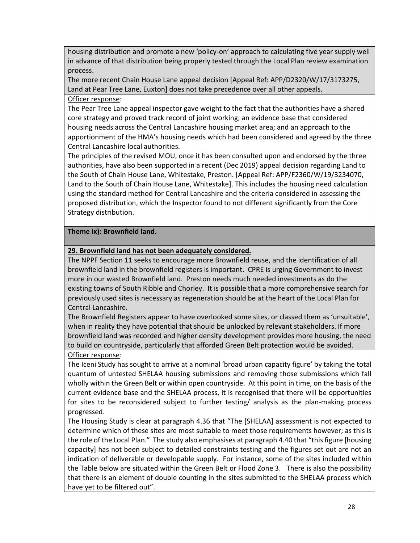housing distribution and promote a new 'policy-on' approach to calculating five year supply well in advance of that distribution being properly tested through the Local Plan review examination process.

The more recent Chain House Lane appeal decision [Appeal Ref: APP/D2320/W/17/3173275, Land at Pear Tree Lane, Euxton] does not take precedence over all other appeals.

### Officer response:

The Pear Tree Lane appeal inspector gave weight to the fact that the authorities have a shared core strategy and proved track record of joint working; an evidence base that considered housing needs across the Central Lancashire housing market area; and an approach to the apportionment of the HMA's housing needs which had been considered and agreed by the three Central Lancashire local authorities.

The principles of the revised MOU, once it has been consulted upon and endorsed by the three authorities, have also been supported in a recent (Dec 2019) appeal decision regarding Land to the South of Chain House Lane, Whitestake, Preston. [Appeal Ref: APP/F2360/W/19/3234070, Land to the South of Chain House Lane, Whitestake]. This includes the housing need calculation using the standard method for Central Lancashire and the criteria considered in assessing the proposed distribution, which the Inspector found to not different significantly from the Core Strategy distribution.

### **Theme ix): Brownfield land.**

## **29. Brownfield land has not been adequately considered.**

The NPPF Section 11 seeks to encourage more Brownfield reuse, and the identification of all brownfield land in the brownfield registers is important. CPRE is urging Government to invest more in our wasted Brownfield land. Preston needs much needed investments as do the existing towns of South Ribble and Chorley. It is possible that a more comprehensive search for previously used sites is necessary as regeneration should be at the heart of the Local Plan for Central Lancashire.

The Brownfield Registers appear to have overlooked some sites, or classed them as 'unsuitable', when in reality they have potential that should be unlocked by relevant stakeholders. If more brownfield land was recorded and higher density development provides more housing, the need to build on countryside, particularly that afforded Green Belt protection would be avoided. Officer response:

The Iceni Study has sought to arrive at a nominal 'broad urban capacity figure' by taking the total quantum of untested SHELAA housing submissions and removing those submissions which fall wholly within the Green Belt or within open countryside. At this point in time, on the basis of the current evidence base and the SHELAA process, it is recognised that there will be opportunities for sites to be reconsidered subject to further testing/ analysis as the plan-making process progressed.

The Housing Study is clear at paragraph 4.36 that "The [SHELAA] assessment is not expected to determine which of these sites are most suitable to meet those requirements however; as this is the role of the Local Plan." The study also emphasises at paragraph 4.40 that "this figure [housing capacity] has not been subject to detailed constraints testing and the figures set out are not an indication of deliverable or developable supply. For instance, some of the sites included within the Table below are situated within the Green Belt or Flood Zone 3. There is also the possibility that there is an element of double counting in the sites submitted to the SHELAA process which have yet to be filtered out".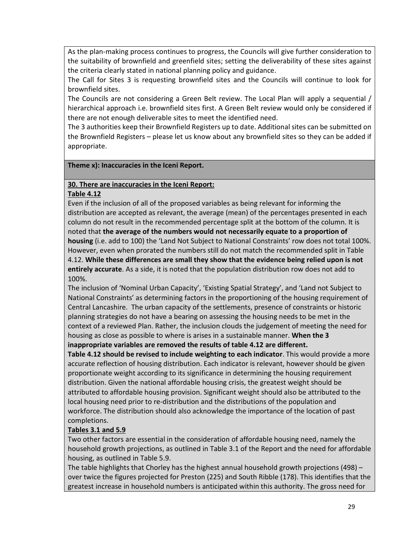As the plan-making process continues to progress, the Councils will give further consideration to the suitability of brownfield and greenfield sites; setting the deliverability of these sites against the criteria clearly stated in national planning policy and guidance.

The Call for Sites 3 is requesting brownfield sites and the Councils will continue to look for brownfield sites.

The Councils are not considering a Green Belt review. The Local Plan will apply a sequential / hierarchical approach i.e. brownfield sites first. A Green Belt review would only be considered if there are not enough deliverable sites to meet the identified need.

The 3 authorities keep their Brownfield Registers up to date. Additional sites can be submitted on the Brownfield Registers – please let us know about any brownfield sites so they can be added if appropriate.

### **Theme x): Inaccuracies in the Iceni Report.**

#### **30. There are inaccuracies in the Iceni Report:**

#### **Table 4.12**

Even if the inclusion of all of the proposed variables as being relevant for informing the distribution are accepted as relevant, the average (mean) of the percentages presented in each column do not result in the recommended percentage split at the bottom of the column. It is noted that **the average of the numbers would not necessarily equate to a proportion of housing** (i.e. add to 100) the 'Land Not Subject to National Constraints' row does not total 100%. However, even when prorated the numbers still do not match the recommended split in Table 4.12. **While these differences are small they show that the evidence being relied upon is not entirely accurate**. As a side, it is noted that the population distribution row does not add to 100%.

The inclusion of 'Nominal Urban Capacity', 'Existing Spatial Strategy', and 'Land not Subject to National Constraints' as determining factors in the proportioning of the housing requirement of Central Lancashire. The urban capacity of the settlements, presence of constraints or historic planning strategies do not have a bearing on assessing the housing needs to be met in the context of a reviewed Plan. Rather, the inclusion clouds the judgement of meeting the need for housing as close as possible to where is arises in a sustainable manner. **When the 3 inappropriate variables are removed the results of table 4.12 are different.**

**Table 4.12 should be revised to include weighting to each indicator**. This would provide a more accurate reflection of housing distribution. Each indicator is relevant, however should be given proportionate weight according to its significance in determining the housing requirement distribution. Given the national affordable housing crisis, the greatest weight should be attributed to affordable housing provision. Significant weight should also be attributed to the local housing need prior to re-distribution and the distributions of the population and workforce. The distribution should also acknowledge the importance of the location of past completions.

### **Tables 3.1 and 5.9**

Two other factors are essential in the consideration of affordable housing need, namely the household growth projections, as outlined in Table 3.1 of the Report and the need for affordable housing, as outlined in Table 5.9.

The table highlights that Chorley has the highest annual household growth projections (498) – over twice the figures projected for Preston (225) and South Ribble (178). This identifies that the greatest increase in household numbers is anticipated within this authority. The gross need for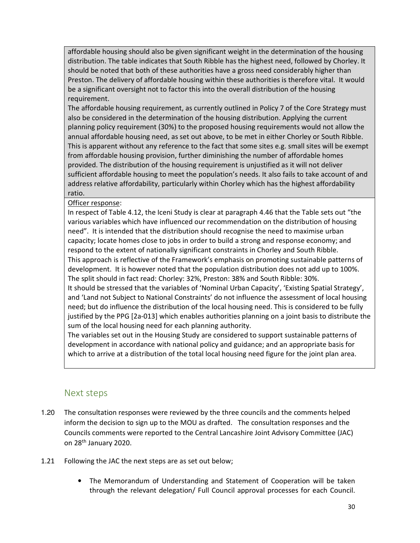affordable housing should also be given significant weight in the determination of the housing distribution. The table indicates that South Ribble has the highest need, followed by Chorley. It should be noted that both of these authorities have a gross need considerably higher than Preston. The delivery of affordable housing within these authorities is therefore vital. It would be a significant oversight not to factor this into the overall distribution of the housing requirement.

The affordable housing requirement, as currently outlined in Policy 7 of the Core Strategy must also be considered in the determination of the housing distribution. Applying the current planning policy requirement (30%) to the proposed housing requirements would not allow the annual affordable housing need, as set out above, to be met in either Chorley or South Ribble. This is apparent without any reference to the fact that some sites e.g. small sites will be exempt from affordable housing provision, further diminishing the number of affordable homes provided. The distribution of the housing requirement is unjustified as it will not deliver sufficient affordable housing to meet the population's needs. It also fails to take account of and address relative affordability, particularly within Chorley which has the highest affordability ratio.

Officer response:

In respect of Table 4.12, the Iceni Study is clear at paragraph 4.46 that the Table sets out "the various variables which have influenced our recommendation on the distribution of housing need". It is intended that the distribution should recognise the need to maximise urban capacity; locate homes close to jobs in order to build a strong and response economy; and respond to the extent of nationally significant constraints in Chorley and South Ribble. This approach is reflective of the Framework's emphasis on promoting sustainable patterns of development. It is however noted that the population distribution does not add up to 100%. The split should in fact read: Chorley: 32%, Preston: 38% and South Ribble: 30%.

It should be stressed that the variables of 'Nominal Urban Capacity', 'Existing Spatial Strategy', and 'Land not Subject to National Constraints' do not influence the assessment of local housing need; but do influence the distribution of the local housing need. This is considered to be fully justified by the PPG [2a-013] which enables authorities planning on a joint basis to distribute the sum of the local housing need for each planning authority.

The variables set out in the Housing Study are considered to support sustainable patterns of development in accordance with national policy and guidance; and an appropriate basis for which to arrive at a distribution of the total local housing need figure for the joint plan area.

## Next steps

- 1.20 The consultation responses were reviewed by the three councils and the comments helped inform the decision to sign up to the MOU as drafted. The consultation responses and the Councils comments were reported to the Central Lancashire Joint Advisory Committee (JAC) on 28th January 2020.
- 1.21 Following the JAC the next steps are as set out below;
	- The Memorandum of Understanding and Statement of Cooperation will be taken through the relevant delegation/ Full Council approval processes for each Council.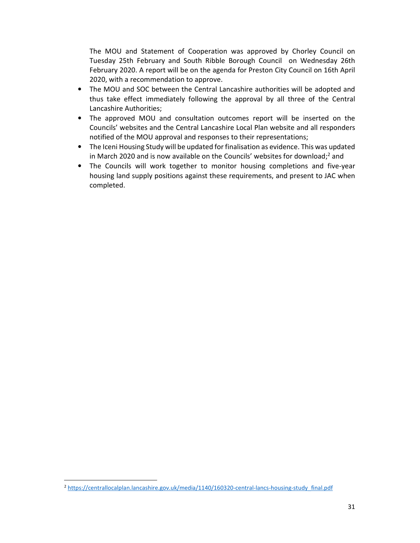The MOU and Statement of Cooperation was approved by Chorley Council on Tuesday 25th February and South Ribble Borough Council on Wednesday 26th February 2020. A report will be on the agenda for Preston City Council on 16th April 2020, with a recommendation to approve.

- The MOU and SOC between the Central Lancashire authorities will be adopted and thus take effect immediately following the approval by all three of the Central Lancashire Authorities;
- The approved MOU and consultation outcomes report will be inserted on the Councils' websites and the Central Lancashire Local Plan website and all responders notified of the MOU approval and responses to their representations;
- The Iceni Housing Study will be updated for finalisation as evidence. This was updated in March 2020 and is now available on the Councils' websites for download;<sup>2</sup> and
- The Councils will work together to monitor housing completions and five-year housing land supply positions against these requirements, and present to JAC when completed.

<sup>2</sup> https://centrallocalplan.lancashire.gov.uk/media/1140/160320-central-lancs-housing-study\_final.pdf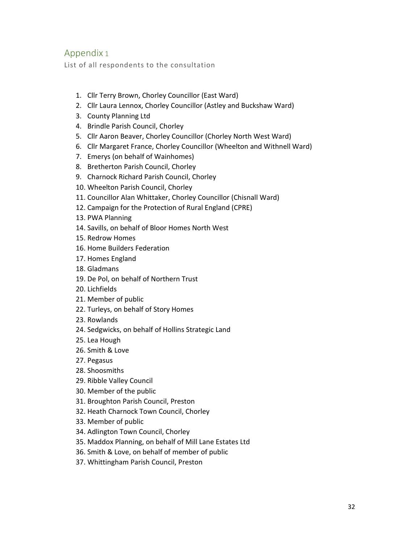## Appendix 1

List of all respondents to the consultation

- 1. Cllr Terry Brown, Chorley Councillor (East Ward)
- 2. Cllr Laura Lennox, Chorley Councillor (Astley and Buckshaw Ward)
- 3. County Planning Ltd
- 4. Brindle Parish Council, Chorley
- 5. Cllr Aaron Beaver, Chorley Councillor (Chorley North West Ward)
- 6. Cllr Margaret France, Chorley Councillor (Wheelton and Withnell Ward)
- 7. Emerys (on behalf of Wainhomes)
- 8. Bretherton Parish Council, Chorley
- 9. Charnock Richard Parish Council, Chorley
- 10. Wheelton Parish Council, Chorley
- 11. Councillor Alan Whittaker, Chorley Councillor (Chisnall Ward)
- 12. Campaign for the Protection of Rural England (CPRE)
- 13. PWA Planning
- 14. Savills, on behalf of Bloor Homes North West
- 15. Redrow Homes
- 16. Home Builders Federation
- 17. Homes England
- 18. Gladmans
- 19. De Pol, on behalf of Northern Trust
- 20. Lichfields
- 21. Member of public
- 22. Turleys, on behalf of Story Homes
- 23. Rowlands
- 24. Sedgwicks, on behalf of Hollins Strategic Land
- 25. Lea Hough
- 26. Smith & Love
- 27. Pegasus
- 28. Shoosmiths
- 29. Ribble Valley Council
- 30. Member of the public
- 31. Broughton Parish Council, Preston
- 32. Heath Charnock Town Council, Chorley
- 33. Member of public
- 34. Adlington Town Council, Chorley
- 35. Maddox Planning, on behalf of Mill Lane Estates Ltd
- 36. Smith & Love, on behalf of member of public
- 37. Whittingham Parish Council, Preston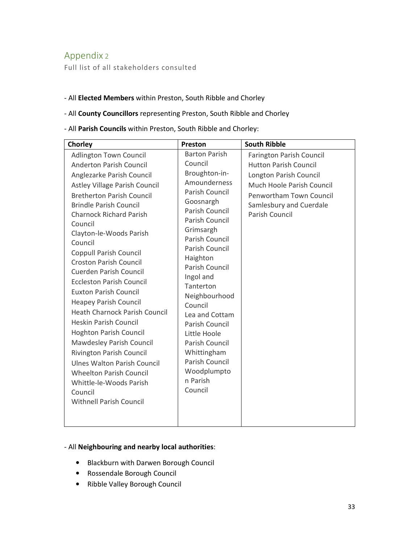# Appendix 2

Full list of all stakeholders consulted

#### - All **Elected Members** within Preston, South Ribble and Chorley

### - All **County Councillors** representing Preston, South Ribble and Chorley

#### - All **Parish Councils** within Preston, South Ribble and Chorley:

| Chorley                                                                                                                                                                                                                                                                                                                                                                                                                                                                                                                                                                                                                                                                                                                                                                                               | Preston                                                                                                                                                                                                                                                                                                                                                                                                               | <b>South Ribble</b>                                                                                                                                                                                   |
|-------------------------------------------------------------------------------------------------------------------------------------------------------------------------------------------------------------------------------------------------------------------------------------------------------------------------------------------------------------------------------------------------------------------------------------------------------------------------------------------------------------------------------------------------------------------------------------------------------------------------------------------------------------------------------------------------------------------------------------------------------------------------------------------------------|-----------------------------------------------------------------------------------------------------------------------------------------------------------------------------------------------------------------------------------------------------------------------------------------------------------------------------------------------------------------------------------------------------------------------|-------------------------------------------------------------------------------------------------------------------------------------------------------------------------------------------------------|
| <b>Adlington Town Council</b><br>Anderton Parish Council<br>Anglezarke Parish Council<br>Astley Village Parish Council<br><b>Bretherton Parish Council</b><br><b>Brindle Parish Council</b><br><b>Charnock Richard Parish</b><br>Council<br>Clayton-le-Woods Parish<br>Council<br><b>Coppull Parish Council</b><br><b>Croston Parish Council</b><br><b>Cuerden Parish Council</b><br><b>Eccleston Parish Council</b><br><b>Euxton Parish Council</b><br><b>Heapey Parish Council</b><br><b>Heath Charnock Parish Council</b><br><b>Heskin Parish Council</b><br><b>Hoghton Parish Council</b><br>Mawdesley Parish Council<br>Rivington Parish Council<br><b>Ulnes Walton Parish Council</b><br><b>Wheelton Parish Council</b><br>Whittle-le-Woods Parish<br>Council<br><b>Withnell Parish Council</b> | <b>Barton Parish</b><br>Council<br>Broughton-in-<br>Amounderness<br>Parish Council<br>Goosnargh<br>Parish Council<br>Parish Council<br>Grimsargh<br>Parish Council<br>Parish Council<br>Haighton<br>Parish Council<br>Ingol and<br>Tanterton<br>Neighbourhood<br>Council<br>Lea and Cottam<br>Parish Council<br>Little Hoole<br>Parish Council<br>Whittingham<br>Parish Council<br>Woodplumpto<br>n Parish<br>Council | <b>Farington Parish Council</b><br><b>Hutton Parish Council</b><br>Longton Parish Council<br>Much Hoole Parish Council<br>Penwortham Town Council<br>Samlesbury and Cuerdale<br><b>Parish Council</b> |
|                                                                                                                                                                                                                                                                                                                                                                                                                                                                                                                                                                                                                                                                                                                                                                                                       |                                                                                                                                                                                                                                                                                                                                                                                                                       |                                                                                                                                                                                                       |

## - All **Neighbouring and nearby local authorities**:

- Blackburn with Darwen Borough Council
- Rossendale Borough Council
- Ribble Valley Borough Council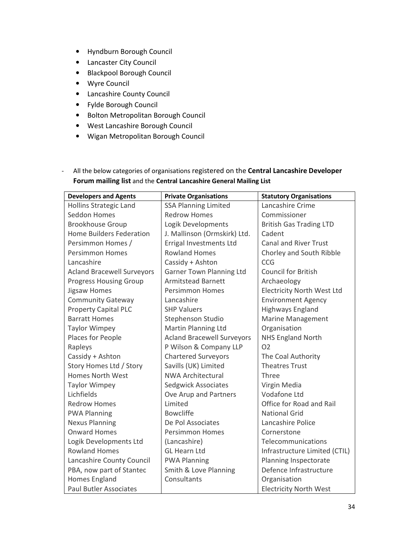- Hyndburn Borough Council
- Lancaster City Council
- Blackpool Borough Council
- Wyre Council
- Lancashire County Council
- Fylde Borough Council
- Bolton Metropolitan Borough Council
- West Lancashire Borough Council
- Wigan Metropolitan Borough Council
- All the below categories of organisations registered on the **Central Lancashire Developer Forum mailing list** and the **Central Lancashire General Mailing List**

| <b>Developers and Agents</b>      | <b>Private Organisations</b>      | <b>Statutory Organisations</b>    |
|-----------------------------------|-----------------------------------|-----------------------------------|
| Hollins Strategic Land            | <b>SSA Planning Limited</b>       | Lancashire Crime                  |
| Seddon Homes                      | <b>Redrow Homes</b>               | Commissioner                      |
| <b>Brookhouse Group</b>           | Logik Developments                | <b>British Gas Trading LTD</b>    |
| <b>Home Builders Federation</b>   | J. Mallinson (Ormskirk) Ltd.      | Cadent                            |
| Persimmon Homes /                 | Errigal Investments Ltd           | <b>Canal and River Trust</b>      |
| <b>Persimmon Homes</b>            | <b>Rowland Homes</b>              | Chorley and South Ribble          |
| Lancashire                        | Cassidy + Ashton                  | CCG                               |
| <b>Acland Bracewell Surveyors</b> | <b>Garner Town Planning Ltd</b>   | <b>Council for British</b>        |
| <b>Progress Housing Group</b>     | <b>Armitstead Barnett</b>         | Archaeology                       |
| Jigsaw Homes                      | <b>Persimmon Homes</b>            | <b>Electricity North West Ltd</b> |
| Community Gateway                 | Lancashire                        | <b>Environment Agency</b>         |
| <b>Property Capital PLC</b>       | <b>SHP Valuers</b>                | <b>Highways England</b>           |
| <b>Barratt Homes</b>              | Stephenson Studio                 | <b>Marine Management</b>          |
| <b>Taylor Wimpey</b>              | Martin Planning Ltd               | Organisation                      |
| Places for People                 | <b>Acland Bracewell Surveyors</b> | <b>NHS England North</b>          |
| Rapleys                           | P Wilson & Company LLP            | O <sub>2</sub>                    |
| Cassidy + Ashton                  | <b>Chartered Surveyors</b>        | The Coal Authority                |
| Story Homes Ltd / Story           | Savills (UK) Limited              | <b>Theatres Trust</b>             |
| <b>Homes North West</b>           | <b>NWA Architectural</b>          | Three                             |
| <b>Taylor Wimpey</b>              | <b>Sedgwick Associates</b>        | Virgin Media                      |
| Lichfields                        | Ove Arup and Partners             | <b>Vodafone Ltd</b>               |
| <b>Redrow Homes</b>               | Limited                           | Office for Road and Rail          |
| <b>PWA Planning</b>               | <b>Bowcliffe</b>                  | <b>National Grid</b>              |
| <b>Nexus Planning</b>             | De Pol Associates                 | Lancashire Police                 |
| <b>Onward Homes</b>               | <b>Persimmon Homes</b>            | Cornerstone                       |
| Logik Developments Ltd            | (Lancashire)                      | Telecommunications                |
| <b>Rowland Homes</b>              | <b>GL Hearn Ltd</b>               | Infrastructure Limited (CTIL)     |
| Lancashire County Council         | <b>PWA Planning</b>               | Planning Inspectorate             |
| PBA, now part of Stantec          | Smith & Love Planning             | Defence Infrastructure            |
| <b>Homes England</b>              | Consultants                       | Organisation                      |
| <b>Paul Butler Associates</b>     |                                   | <b>Electricity North West</b>     |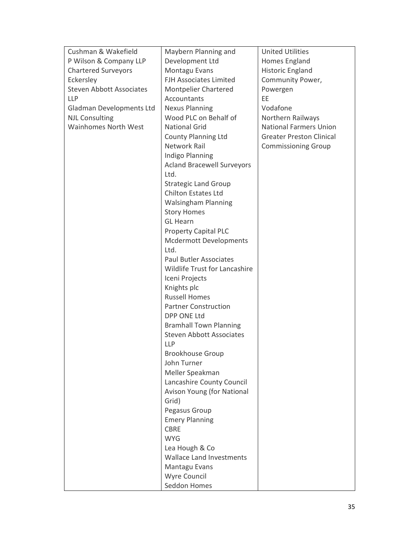| Cushman & Wakefield             | Maybern Planning and                 | <b>United Utilities</b>         |
|---------------------------------|--------------------------------------|---------------------------------|
| P Wilson & Company LLP          | Development Ltd                      | Homes England                   |
| <b>Chartered Surveyors</b>      | Montagu Evans                        | Historic England                |
| Eckersley                       | <b>FJH Associates Limited</b>        | Community Power,                |
| <b>Steven Abbott Associates</b> | <b>Montpelier Chartered</b>          | Powergen                        |
| <b>LLP</b>                      | Accountants                          | EE                              |
| Gladman Developments Ltd        | <b>Nexus Planning</b>                | Vodafone                        |
| <b>NJL Consulting</b>           | Wood PLC on Behalf of                | Northern Railways               |
| <b>Wainhomes North West</b>     | <b>National Grid</b>                 | <b>National Farmers Union</b>   |
|                                 | <b>County Planning Ltd</b>           | <b>Greater Preston Clinical</b> |
|                                 | Network Rail                         | <b>Commissioning Group</b>      |
|                                 | <b>Indigo Planning</b>               |                                 |
|                                 | <b>Acland Bracewell Surveyors</b>    |                                 |
|                                 | Ltd.                                 |                                 |
|                                 | <b>Strategic Land Group</b>          |                                 |
|                                 | <b>Chilton Estates Ltd</b>           |                                 |
|                                 | <b>Walsingham Planning</b>           |                                 |
|                                 | <b>Story Homes</b>                   |                                 |
|                                 | <b>GL Hearn</b>                      |                                 |
|                                 | <b>Property Capital PLC</b>          |                                 |
|                                 | <b>Mcdermott Developments</b>        |                                 |
|                                 | Ltd.                                 |                                 |
|                                 | <b>Paul Butler Associates</b>        |                                 |
|                                 | <b>Wildlife Trust for Lancashire</b> |                                 |
|                                 | Iceni Projects                       |                                 |
|                                 | Knights plc                          |                                 |
|                                 | <b>Russell Homes</b>                 |                                 |
|                                 | <b>Partner Construction</b>          |                                 |
|                                 | <b>DPP ONE Ltd</b>                   |                                 |
|                                 | <b>Bramhall Town Planning</b>        |                                 |
|                                 | <b>Steven Abbott Associates</b>      |                                 |
|                                 | <b>LLP</b>                           |                                 |
|                                 | <b>Brookhouse Group</b>              |                                 |
|                                 | John Turner                          |                                 |
|                                 | Meller Speakman                      |                                 |
|                                 | Lancashire County Council            |                                 |
|                                 | Avison Young (for National           |                                 |
|                                 | Grid)                                |                                 |
|                                 | Pegasus Group                        |                                 |
|                                 | <b>Emery Planning</b>                |                                 |
|                                 | <b>CBRE</b>                          |                                 |
|                                 | <b>WYG</b>                           |                                 |
|                                 | Lea Hough & Co                       |                                 |
|                                 | <b>Wallace Land Investments</b>      |                                 |
|                                 | Mantagu Evans                        |                                 |
|                                 | Wyre Council                         |                                 |
|                                 | Seddon Homes                         |                                 |